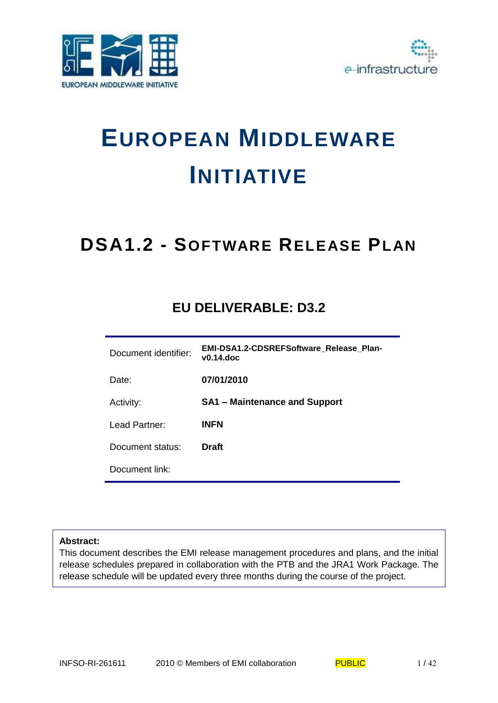



# **EUROPEAN MIDDLEWARE INITIATIVE**

# **DSA1.2 - SOFTWARE RELEASE PLAN**

# **EU DELIVERABLE: D3.2**

| Document identifier: | <b>EMI-DSA1.2-CDSREFSoftware Release Plan-</b><br>$v0.14$ .doc |
|----------------------|----------------------------------------------------------------|
| Date:                | 07/01/2010                                                     |
| Activity:            | <b>SA1 - Maintenance and Support</b>                           |
| Lead Partner:        | <b>INFN</b>                                                    |
| Document status:     | <b>Draft</b>                                                   |
| Document link:       |                                                                |

#### **Abstract:**

This document describes the EMI release management procedures and plans, and the initial release schedules prepared in collaboration with the PTB and the JRA1 Work Package. The release schedule will be updated every three months during the course of the project.

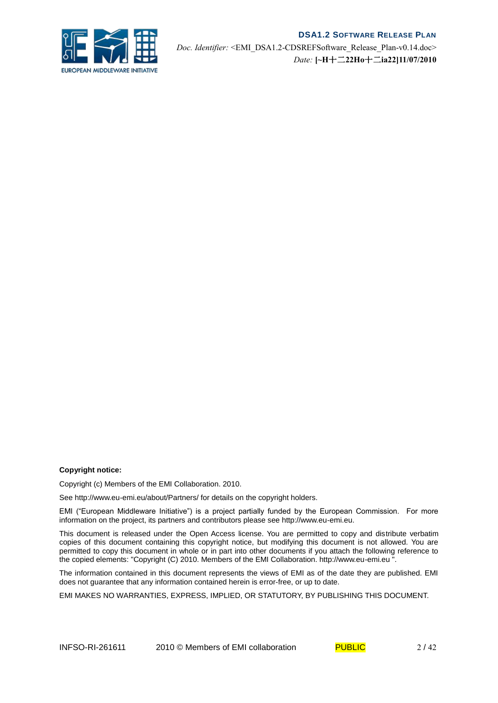#### **DSA1.2 SOFTWARE RELEASE PLAN**



*Doc. Identifier:* <EMI\_DSA1.2-CDSREFSoftware\_Release\_Plan-v0.14.doc> *Date:* **[~H**十二**22Ho**十二**ia22]11/07/2010**

#### **Copyright notice:**

Copyright (c) Members of the EMI Collaboration. 2010.

See http://www.eu-emi.eu/about/Partners/ for details on the copyright holders.

EMI ("European Middleware Initiative") is a project partially funded by the European Commission. For more information on the project, its partners and contributors please see http://www.eu-emi.eu.

This document is released under the Open Access license. You are permitted to copy and distribute verbatim copies of this document containing this copyright notice, but modifying this document is not allowed. You are permitted to copy this document in whole or in part into other documents if you attach the following reference to the copied elements: "Copyright (C) 2010. Members of the EMI Collaboration. http://www.eu-emi.eu ".

The information contained in this document represents the views of EMI as of the date they are published. EMI does not guarantee that any information contained herein is error-free, or up to date.

EMI MAKES NO WARRANTIES, EXPRESS, IMPLIED, OR STATUTORY, BY PUBLISHING THIS DOCUMENT.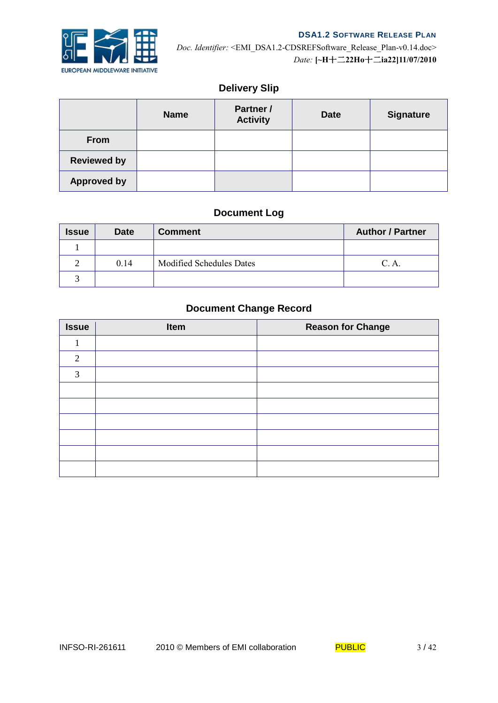



# **Delivery Slip**

|                    | <b>Name</b> | <b>Partner /</b><br><b>Activity</b> | <b>Date</b> | <b>Signature</b> |
|--------------------|-------------|-------------------------------------|-------------|------------------|
| <b>From</b>        |             |                                     |             |                  |
| <b>Reviewed by</b> |             |                                     |             |                  |
| <b>Approved by</b> |             |                                     |             |                  |

# **Document Log**

| <b>Issue</b> | <b>Date</b> | <b>Comment</b>                  | <b>Author / Partner</b> |
|--------------|-------------|---------------------------------|-------------------------|
|              |             |                                 |                         |
| ◠            | 0.14        | <b>Modified Schedules Dates</b> | C.A.                    |
|              |             |                                 |                         |

# **Document Change Record**

| <b>Issue</b> | Item | <b>Reason for Change</b> |
|--------------|------|--------------------------|
|              |      |                          |
| 2            |      |                          |
| 3            |      |                          |
|              |      |                          |
|              |      |                          |
|              |      |                          |
|              |      |                          |
|              |      |                          |
|              |      |                          |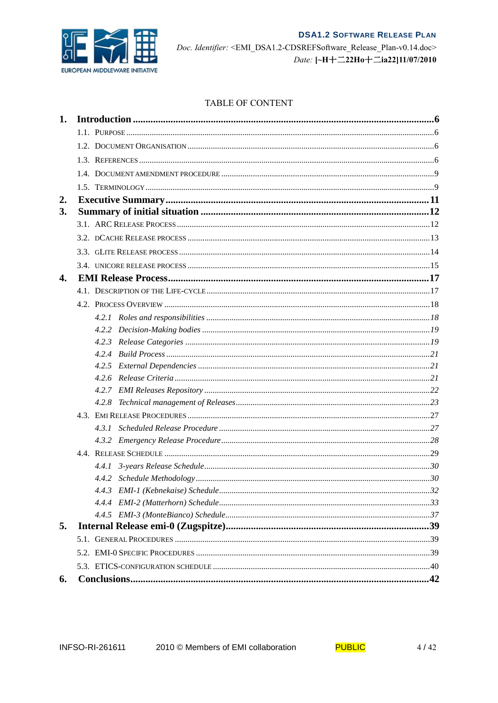

#### **TABLE OF CONTENT**

| 1.           |  |
|--------------|--|
|              |  |
|              |  |
|              |  |
|              |  |
|              |  |
| 2.           |  |
| <b>3.</b>    |  |
|              |  |
|              |  |
|              |  |
|              |  |
| $\mathbf{4}$ |  |
|              |  |
|              |  |
|              |  |
|              |  |
|              |  |
|              |  |
|              |  |
|              |  |
|              |  |
|              |  |
|              |  |
|              |  |
|              |  |
|              |  |
|              |  |
|              |  |
|              |  |
|              |  |
| 5.           |  |
|              |  |
|              |  |
|              |  |
| 6.           |  |
|              |  |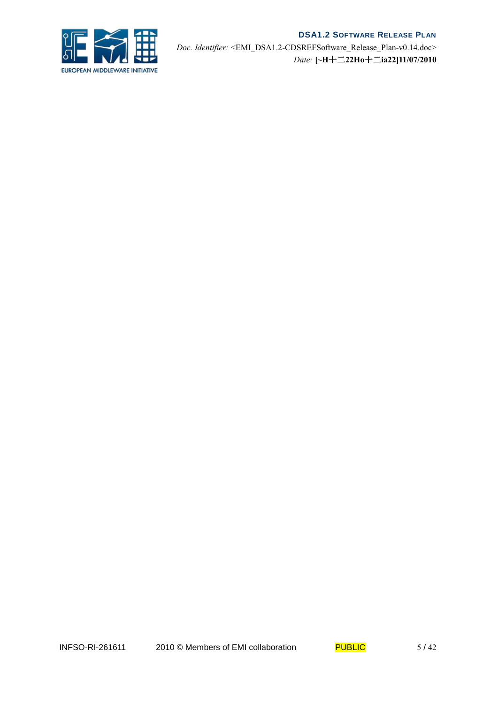#### **DSA1.2 SOFTWARE RELEASE PLAN**



*Doc. Identifier:* <EMI\_DSA1.2-CDSREFSoftware\_Release\_Plan-v0.14.doc> *Date:* **[~H**十二**22Ho**十二**ia22]11/07/2010**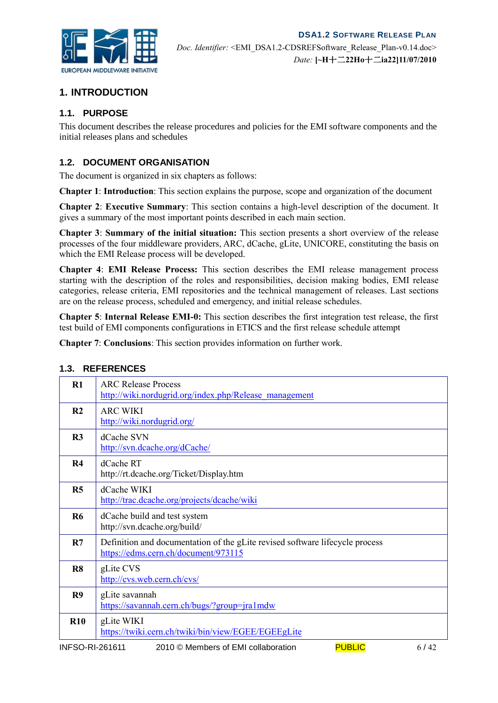

*Date:* **[~H**十二**22Ho**十二**ia22]11/07/2010**

## <span id="page-5-0"></span>**1. INTRODUCTION**

#### <span id="page-5-1"></span>**1.1. PURPOSE**

This document describes the release procedures and policies for the EMI software components and the initial releases plans and schedules

#### <span id="page-5-2"></span>**1.2. DOCUMENT ORGANISATION**

The document is organized in six chapters as follows:

**Chapter 1**: **Introduction**: This section explains the purpose, scope and organization of the document

**Chapter 2**: **Executive Summary**: This section contains a high-level description of the document. It gives a summary of the most important points described in each main section.

**Chapter 3**: **Summary of the initial situation:** This section presents a short overview of the release processes of the four middleware providers, ARC, dCache, gLite, UNICORE, constituting the basis on which the EMI Release process will be developed.

**Chapter 4**: **EMI Release Process:** This section describes the EMI release management process starting with the description of the roles and responsibilities, decision making bodies, EMI release categories, release criteria, EMI repositories and the technical management of releases. Last sections are on the release process, scheduled and emergency, and initial release schedules.

**Chapter 5**: **Internal Release EMI-0:** This section describes the first integration test release, the first test build of EMI components configurations in ETICS and the first release schedule attempt

**Chapter 7**: **Conclusions**: This section provides information on further work.

| R1                     | <b>ARC Release Process</b><br>http://wiki.nordugrid.org/index.php/Release management                                 |
|------------------------|----------------------------------------------------------------------------------------------------------------------|
| R <sub>2</sub>         | <b>ARC WIKI</b><br>http://wiki.nordugrid.org/                                                                        |
| R3                     | dCache SVN<br>http://svn.dcache.org/dCache/                                                                          |
| R4                     | dCache RT<br>http://rt.dcache.org/Ticket/Display.htm                                                                 |
| R <sub>5</sub>         | dCache WIKI<br>http://trac.dcache.org/projects/dcache/wiki                                                           |
| <b>R6</b>              | dCache build and test system<br>http://svn.dcache.org/build/                                                         |
| R7                     | Definition and documentation of the gLite revised software lifecycle process<br>https://edms.cern.ch/document/973115 |
| R8                     | gLite CVS<br>http://cvs.web.cern.ch/cvs/                                                                             |
| R <sub>9</sub>         | gLite savannah<br>https://savannah.cern.ch/bugs/?group=jra1mdw                                                       |
| <b>R10</b>             | gLite WIKI<br>https://twiki.cern.ch/twiki/bin/view/EGEE/EGEEgLite                                                    |
| <b>INFSO-RI-261611</b> | <b>PUBLIC</b><br>2010 © Members of EMI collaboration<br>6/42                                                         |

#### <span id="page-5-3"></span>**1.3. REFERENCES**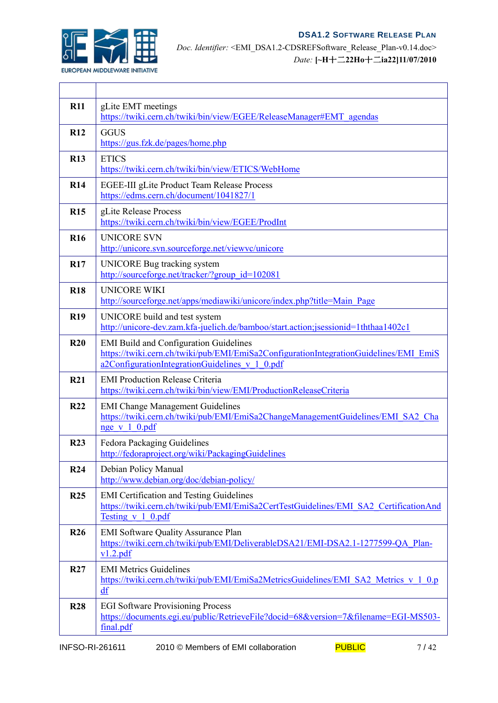

٦



 $\Gamma$ 

*Doc. Identifier:* <EMI\_DSA1.2-CDSREFSoftware\_Release\_Plan-v0.14.doc> *Date:* **[~H**十二**22Ho**十二**ia22]11/07/2010**

| <b>R11</b>      | gLite EMT meetings<br>https://twiki.cern.ch/twiki/bin/view/EGEE/ReleaseManager#EMT agendas                                                                                               |
|-----------------|------------------------------------------------------------------------------------------------------------------------------------------------------------------------------------------|
| <b>R12</b>      | <b>GGUS</b><br>https://gus.fzk.de/pages/home.php                                                                                                                                         |
| <b>R13</b>      | <b>ETICS</b><br>https://twiki.cern.ch/twiki/bin/view/ETICS/WebHome                                                                                                                       |
| <b>R14</b>      | <b>EGEE-III gLite Product Team Release Process</b><br>https://edms.cern.ch/document/1041827/1                                                                                            |
| R15             | gLite Release Process<br>https://twiki.cern.ch/twiki/bin/view/EGEE/ProdInt                                                                                                               |
| <b>R16</b>      | <b>UNICORE SVN</b><br>http://unicore.svn.sourceforge.net/viewvc/unicore                                                                                                                  |
| R17             | UNICORE Bug tracking system<br>http://sourceforge.net/tracker/?group_id=102081                                                                                                           |
| <b>R18</b>      | <b>UNICORE WIKI</b><br>http://sourceforge.net/apps/mediawiki/unicore/index.php?title=Main Page                                                                                           |
| <b>R19</b>      | UNICORE build and test system<br>http://unicore-dev.zam.kfa-juelich.de/bamboo/start.action;jsessionid=1ththaa1402c1                                                                      |
| R20             | <b>EMI Build and Configuration Guidelines</b><br>https://twiki.cern.ch/twiki/pub/EMI/EmiSa2ConfigurationIntegrationGuidelines/EMI EmiS<br>a2ConfigurationIntegrationGuidelines v 1 0.pdf |
| R <sub>21</sub> | <b>EMI Production Release Criteria</b><br>https://twiki.cern.ch/twiki/bin/view/EMI/ProductionReleaseCriteria                                                                             |
| <b>R22</b>      | <b>EMI Change Management Guidelines</b><br>https://twiki.cern.ch/twiki/pub/EMI/EmiSa2ChangeManagementGuidelines/EMI SA2 Cha<br>$nge \ v 1 0.pdf$                                         |
| <b>R23</b>      | <b>Fedora Packaging Guidelines</b><br>http://fedoraproject.org/wiki/PackagingGuidelines                                                                                                  |
| <b>R24</b>      | Debian Policy Manual<br>http://www.debian.org/doc/debian-policy/                                                                                                                         |
| R <sub>25</sub> | <b>EMI</b> Certification and Testing Guidelines<br>https://twiki.cern.ch/twiki/pub/EMI/EmiSa2CertTestGuidelines/EMI SA2 CertificationAnd<br>Testing v 1 0.pdf                            |
| <b>R26</b>      | <b>EMI Software Quality Assurance Plan</b><br>https://twiki.cern.ch/twiki/pub/EMI/DeliverableDSA21/EMI-DSA2.1-1277599-QA Plan-<br>v1.2.pdf                                               |
| R27             | <b>EMI Metrics Guidelines</b><br>https://twiki.cern.ch/twiki/pub/EMI/EmiSa2MetricsGuidelines/EMI SA2 Metrics v 1 0.p<br>df                                                               |
| <b>R28</b>      | <b>EGI Software Provisioning Process</b><br>https://documents.egi.eu/public/RetrieveFile?docid=68&version=7&filename=EGI-MS503-<br>final.pdf                                             |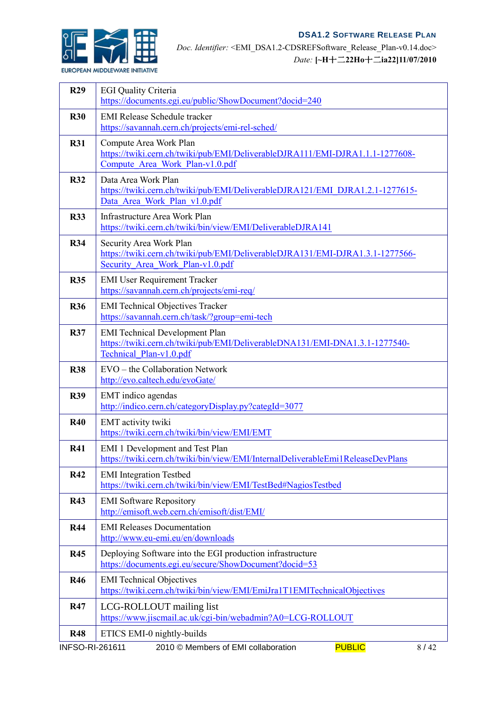



EUROPEAN MIDDLEWARE INITIATIVE

| <b>R29</b>                    | <b>EGI</b> Quality Criteria<br>https://documents.egi.eu/public/ShowDocument?docid=240                                                           |
|-------------------------------|-------------------------------------------------------------------------------------------------------------------------------------------------|
| <b>R30</b>                    | <b>EMI Release Schedule tracker</b><br>https://savannah.cern.ch/projects/emi-rel-sched/                                                         |
| <b>R31</b>                    | Compute Area Work Plan<br>https://twiki.cern.ch/twiki/pub/EMI/DeliverableDJRA111/EMI-DJRA1.1.1-1277608-<br>Compute Area Work Plan-v1.0.pdf      |
| <b>R32</b>                    | Data Area Work Plan<br>https://twiki.cern.ch/twiki/pub/EMI/DeliverableDJRA121/EMI_DJRA1.2.1-1277615-<br>Data Area Work Plan v1.0.pdf            |
| <b>R33</b>                    | Infrastructure Area Work Plan<br>https://twiki.cern.ch/twiki/bin/view/EMI/DeliverableDJRA141                                                    |
| <b>R34</b>                    | Security Area Work Plan<br>https://twiki.cern.ch/twiki/pub/EMI/DeliverableDJRA131/EMI-DJRA1.3.1-1277566-<br>Security Area Work Plan-v1.0.pdf    |
| <b>R35</b>                    | <b>EMI User Requirement Tracker</b><br>https://savannah.cern.ch/projects/emi-req/                                                               |
| <b>R36</b>                    | <b>EMI</b> Technical Objectives Tracker<br>https://savannah.cern.ch/task/?group=emi-tech                                                        |
| <b>R37</b>                    | <b>EMI</b> Technical Development Plan<br>https://twiki.cern.ch/twiki/pub/EMI/DeliverableDNA131/EMI-DNA1.3.1-1277540-<br>Technical Plan-v1.0.pdf |
| <b>R38</b>                    | EVO – the Collaboration Network<br>http://evo.caltech.edu/evoGate/                                                                              |
| <b>R39</b>                    | EMT indico agendas<br>http://indico.cern.ch/categoryDisplay.py?categId=3077                                                                     |
| <b>R40</b>                    | EMT activity twiki<br>https://twiki.cern.ch/twiki/bin/view/EMI/EMT                                                                              |
| <b>R41</b>                    | <b>EMI 1 Development and Test Plan</b><br>https://twiki.cern.ch/twiki/bin/view/EMI/InternalDeliverableEmi1ReleaseDevPlans                       |
| <b>R42</b>                    | <b>EMI</b> Integration Testbed<br>https://twiki.cern.ch/twiki/bin/view/EMI/TestBed#NagiosTestbed                                                |
| <b>R43</b>                    | <b>EMI</b> Software Repository<br>http://emisoft.web.cern.ch/emisoft/dist/EMI/                                                                  |
| <b>R44</b>                    | <b>EMI</b> Releases Documentation<br>http://www.eu-emi.eu/en/downloads                                                                          |
| <b>R45</b>                    | Deploying Software into the EGI production infrastructure<br>https://documents.egi.eu/secure/ShowDocument?docid=53                              |
| <b>R46</b>                    | <b>EMI</b> Technical Objectives<br>https://twiki.cern.ch/twiki/bin/view/EMI/EmiJra1T1EMITechnicalObjectives                                     |
| <b>R47</b>                    | LCG-ROLLOUT mailing list<br>https://www.jiscmail.ac.uk/cgi-bin/webadmin?A0=LCG-ROLLOUT                                                          |
| <b>R48</b><br>INFSO-RI-261611 | ETICS EMI-0 nightly-builds<br><b>PUBLIC</b><br>2010 © Members of EMI collaboration<br>8/42                                                      |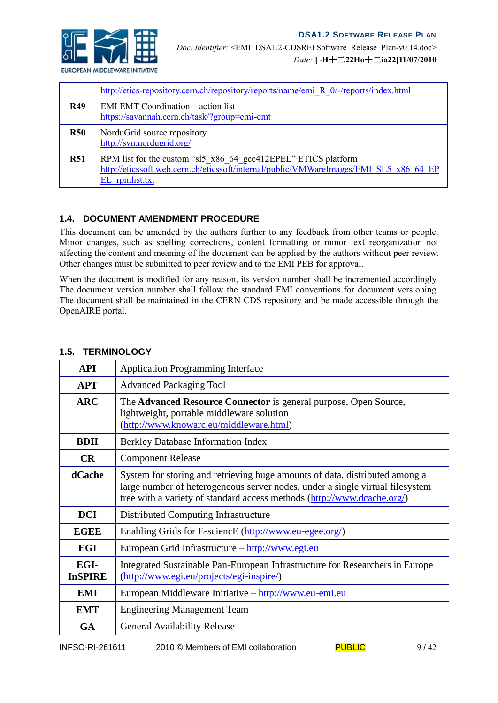

|            | http://etics-repository.cern.ch/repository/reports/name/emi R 0/-/reports/index.html                                                                                      |
|------------|---------------------------------------------------------------------------------------------------------------------------------------------------------------------------|
| <b>R49</b> | <b>EMI EMT Coordination – action list</b><br>https://savannah.cern.ch/task/?group=emi-emt                                                                                 |
| <b>R50</b> | NorduGrid source repository<br>http://svn.nordugrid.org/                                                                                                                  |
| <b>R51</b> | RPM list for the custom "sl5 x86 64 gcc412EPEL" ETICS platform<br>http://eticssoft.web.cern.ch/eticssoft/internal/public/VMWareImages/EMI SL5 x86 64 EP<br>EL rpmlist.txt |

#### <span id="page-8-0"></span>**1.4. DOCUMENT AMENDMENT PROCEDURE**

This document can be amended by the authors further to any feedback from other teams or people. Minor changes, such as spelling corrections, content formatting or minor text reorganization not affecting the content and meaning of the document can be applied by the authors without peer review. Other changes must be submitted to peer review and to the EMI PEB for approval.

When the document is modified for any reason, its version number shall be incremented accordingly. The document version number shall follow the standard EMI conventions for document versioning. The document shall be maintained in the CERN CDS repository and be made accessible through the OpenAIRE portal.

# **API** Application Programming Interface **APT** Advanced Packaging Tool **ARC** The **Advanced Resource Connector** is general purpose, Open Source, lightweight, portable middleware solution [\(http://www.knowarc.eu/middleware.html\)](http://www.knowarc.eu/middleware.html) **BDII** Berkley Database Information Index **CR** Component Release **dCache** System for storing and retrieving huge amounts of data, distributed among a large number of heterogeneous server nodes, under a single virtual filesystem tree with a variety of standard access methods [\(http://www.dcache.org/\)](http://www.dcache.org/) **DCI** Distributed Computing Infrastructure **EGEE** Enabling Grids for E-sciencE [\(http://www.eu-egee.org/\)](http://www.eu-egee.org/) **EGI** European Grid Infrastructure – [http://www.egi.eu](http://www.egi.eu/) **EGI-InSPIRE** Integrated Sustainable Pan-European Infrastructure for Researchers in Europe [\(http://www.egi.eu/projects/egi-inspire/\)](http://www.egi.eu/projects/egi-inspire/) **EMI** European Middleware Initiative – [http://www.eu-emi.eu](http://www.eu-emi.eu/) **EMT** Engineering Management Team GA General Availability Release

#### <span id="page-8-1"></span>**1.5. TERMINOLOGY**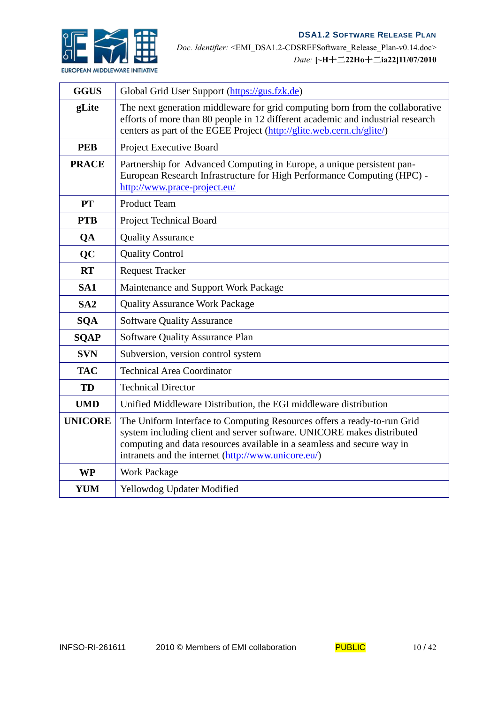

#### **DSA1.2 SOFTWARE RELEASE PLAN**

*Doc. Identifier:* <EMI\_DSA1.2-CDSREFSoftware\_Release\_Plan-v0.14.doc> *Date:* **[~H**十二**22Ho**十二**ia22]11/07/2010**

| <b>GGUS</b>    | Global Grid User Support (https://gus.fzk.de)                                                                                                                                                                                                                                      |
|----------------|------------------------------------------------------------------------------------------------------------------------------------------------------------------------------------------------------------------------------------------------------------------------------------|
| gLite          | The next generation middleware for grid computing born from the collaborative<br>efforts of more than 80 people in 12 different academic and industrial research<br>centers as part of the EGEE Project (http://glite.web.cern.ch/glite/)                                          |
| <b>PEB</b>     | Project Executive Board                                                                                                                                                                                                                                                            |
| <b>PRACE</b>   | Partnership for Advanced Computing in Europe, a unique persistent pan-<br>European Research Infrastructure for High Performance Computing (HPC) -<br>http://www.prace-project.eu/                                                                                                  |
| <b>PT</b>      | <b>Product Team</b>                                                                                                                                                                                                                                                                |
| <b>PTB</b>     | <b>Project Technical Board</b>                                                                                                                                                                                                                                                     |
| QA             | <b>Quality Assurance</b>                                                                                                                                                                                                                                                           |
| <b>QC</b>      | <b>Quality Control</b>                                                                                                                                                                                                                                                             |
| <b>RT</b>      | <b>Request Tracker</b>                                                                                                                                                                                                                                                             |
| SA1            | Maintenance and Support Work Package                                                                                                                                                                                                                                               |
| SA2            | <b>Quality Assurance Work Package</b>                                                                                                                                                                                                                                              |
| <b>SQA</b>     | <b>Software Quality Assurance</b>                                                                                                                                                                                                                                                  |
| <b>SQAP</b>    | <b>Software Quality Assurance Plan</b>                                                                                                                                                                                                                                             |
| <b>SVN</b>     | Subversion, version control system                                                                                                                                                                                                                                                 |
| <b>TAC</b>     | <b>Technical Area Coordinator</b>                                                                                                                                                                                                                                                  |
| <b>TD</b>      | <b>Technical Director</b>                                                                                                                                                                                                                                                          |
| <b>UMD</b>     | Unified Middleware Distribution, the EGI middleware distribution                                                                                                                                                                                                                   |
| <b>UNICORE</b> | The Uniform Interface to Computing Resources offers a ready-to-run Grid<br>system including client and server software. UNICORE makes distributed<br>computing and data resources available in a seamless and secure way in<br>intranets and the internet (http://www.unicore.eu/) |
| <b>WP</b>      | <b>Work Package</b>                                                                                                                                                                                                                                                                |
| <b>YUM</b>     | Yellowdog Updater Modified                                                                                                                                                                                                                                                         |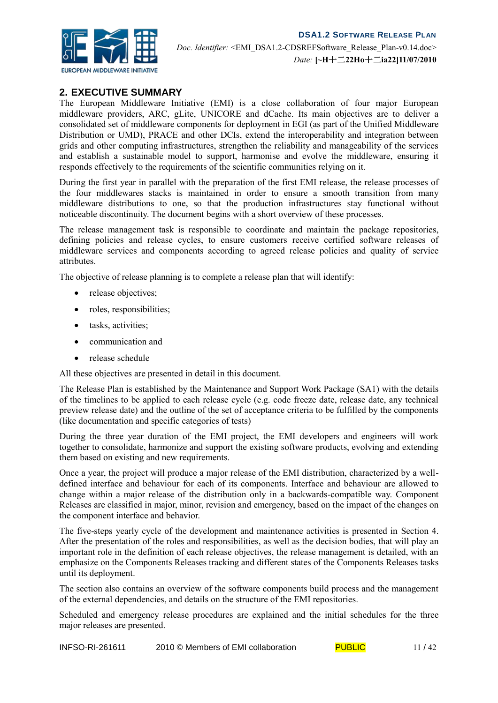

#### <span id="page-10-0"></span>**2. EXECUTIVE SUMMARY**

The European Middleware Initiative (EMI) is a close collaboration of four major European middleware providers, ARC, gLite, UNICORE and dCache. Its main objectives are to deliver a consolidated set of middleware components for deployment in EGI (as part of the Unified Middleware Distribution or UMD), PRACE and other DCIs, extend the interoperability and integration between grids and other computing infrastructures, strengthen the reliability and manageability of the services and establish a sustainable model to support, harmonise and evolve the middleware, ensuring it responds effectively to the requirements of the scientific communities relying on it.

During the first year in parallel with the preparation of the first EMI release, the release processes of the four middlewares stacks is maintained in order to ensure a smooth transition from many middleware distributions to one, so that the production infrastructures stay functional without noticeable discontinuity. The document begins with a short overview of these processes.

The release management task is responsible to coordinate and maintain the package repositories, defining policies and release cycles, to ensure customers receive certified software releases of middleware services and components according to agreed release policies and quality of service attributes.

The objective of release planning is to complete a release plan that will identify:

- release objectives;
- roles, responsibilities;
- tasks, activities;
- communication and
- release schedule

All these objectives are presented in detail in this document.

The Release Plan is established by the Maintenance and Support Work Package (SA1) with the details of the timelines to be applied to each release cycle (e.g. code freeze date, release date, any technical preview release date) and the outline of the set of acceptance criteria to be fulfilled by the components (like documentation and specific categories of tests)

During the three year duration of the EMI project, the EMI developers and engineers will work together to consolidate, harmonize and support the existing software products, evolving and extending them based on existing and new requirements.

Once a year, the project will produce a major release of the EMI distribution, characterized by a welldefined interface and behaviour for each of its components. Interface and behaviour are allowed to change within a major release of the distribution only in a backwards-compatible way. Component Releases are classified in major, minor, revision and emergency, based on the impact of the changes on the component interface and behavior.

The five-steps yearly cycle of the development and maintenance activities is presented in Section 4. After the presentation of the roles and responsibilities, as well as the decision bodies, that will play an important role in the definition of each release objectives, the release management is detailed, with an emphasize on the Components Releases tracking and different states of the Components Releases tasks until its deployment.

The section also contains an overview of the software components build process and the management of the external dependencies, and details on the structure of the EMI repositories.

Scheduled and emergency release procedures are explained and the initial schedules for the three major releases are presented.

INFSO-RI-261611 2010 © Members of EMI collaboration PUBLIC 11/42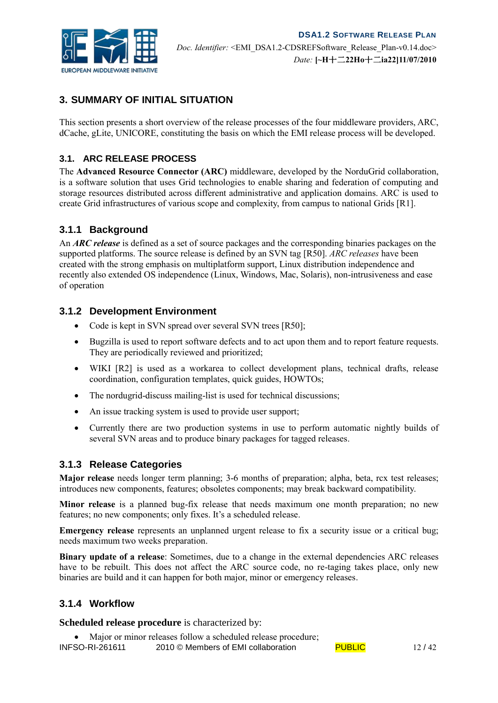

# <span id="page-11-0"></span>**3. SUMMARY OF INITIAL SITUATION**

This section presents a short overview of the release processes of the four middleware providers, ARC, dCache, gLite, UNICORE, constituting the basis on which the EMI release process will be developed.

#### <span id="page-11-1"></span>**3.1. ARC RELEASE PROCESS**

The **Advanced Resource Connector (ARC)** middleware, developed by the NorduGrid collaboration, is a software solution that uses Grid technologies to enable sharing and federation of computing and storage resources distributed across different administrative and application domains. ARC is used to create Grid infrastructures of various scope and complexity, from campus to national Grids [R1].

#### **3.1.1 Background**

An *ARC release* is defined as a set of source packages and the corresponding binaries packages on the supported platforms. The source release is defined by an SVN tag [R50]. *ARC releases* have been created with the strong emphasis on multiplatform support, Linux distribution independence and recently also extended OS independence (Linux, Windows, Mac, Solaris), non-intrusiveness and ease of operation

#### **3.1.2 Development Environment**

- Code is kept in SVN spread over several SVN trees [R50];
- Bugzilla is used to report software defects and to act upon them and to report feature requests. They are periodically reviewed and prioritized;
- WIKI [R2] is used as a workarea to collect development plans, technical drafts, release coordination, configuration templates, quick guides, HOWTOs;
- The nordugrid-discuss mailing-list is used for technical discussions;
- An issue tracking system is used to provide user support;
- Currently there are two production systems in use to perform automatic nightly builds of several SVN areas and to produce binary packages for tagged releases.

#### **3.1.3 Release Categories**

**Major release** needs longer term planning; 3-6 months of preparation; alpha, beta, rcx test releases; introduces new components, features; obsoletes components; may break backward compatibility.

**Minor release** is a planned bug-fix release that needs maximum one month preparation; no new features; no new components; only fixes. It's a scheduled release.

**Emergency release** represents an unplanned urgent release to fix a security issue or a critical bug; needs maximum two weeks preparation.

**Binary update of a release**: Sometimes, due to a change in the external dependencies ARC releases have to be rebuilt. This does not affect the ARC source code, no re-taging takes place, only new binaries are build and it can happen for both major, minor or emergency releases.

#### **3.1.4 Workflow**

**Scheduled release procedure** is characterized by:

• Major or minor releases follow a scheduled release procedure;

INFSO-RI-261611 2010 © Members of EMI collaboration PUBLIC 12/42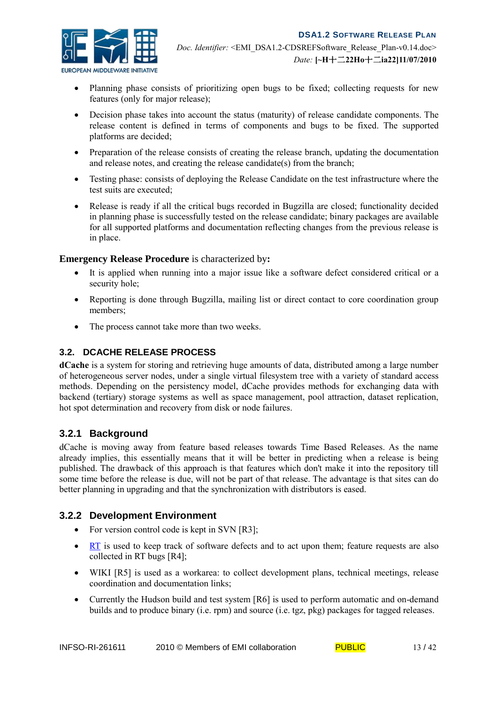

- Planning phase consists of prioritizing open bugs to be fixed; collecting requests for new features (only for major release);
- Decision phase takes into account the status (maturity) of release candidate components. The release content is defined in terms of components and bugs to be fixed. The supported platforms are decided;
- Preparation of the release consists of creating the release branch, updating the documentation and release notes, and creating the release candidate(s) from the branch;
- Testing phase: consists of deploying the Release Candidate on the test infrastructure where the test suits are executed;
- Release is ready if all the critical bugs recorded in Bugzilla are closed; functionality decided in planning phase is successfully tested on the release candidate; binary packages are available for all supported platforms and documentation reflecting changes from the previous release is in place.

#### **Emergency Release Procedure** is characterized by**:**

- It is applied when running into a major issue like a software defect considered critical or a security hole;
- Reporting is done through Bugzilla, mailing list or direct contact to core coordination group members;
- The process cannot take more than two weeks.

#### <span id="page-12-0"></span>**3.2. DCACHE RELEASE PROCESS**

**dCache** is a system for storing and retrieving huge amounts of data, distributed among a large number of heterogeneous server nodes, under a single virtual filesystem tree with a variety of standard access methods. Depending on the persistency model, dCache provides methods for exchanging data with backend (tertiary) storage systems as well as space management, pool attraction, dataset replication, hot spot determination and recovery from disk or node failures.

#### **3.2.1 Background**

dCache is moving away from feature based releases towards Time Based Releases. As the name already implies, this essentially means that it will be better in predicting when a release is being published. The drawback of this approach is that features which don't make it into the repository till some time before the release is due, will not be part of that release. The advantage is that sites can do better planning in upgrading and that the synchronization with distributors is eased.

#### **3.2.2 Development Environment**

- For version control code is kept in SVN [R3];
- [RT](http://rt.dcache.org/Ticket/Display.html) is used to keep track of software defects and to act upon them; feature requests are also collected in RT bugs [R4];
- WIKI [R5] is used as a workarea: to collect development plans, technical meetings, release coordination and documentation links;
- Currently the Hudson build and test system [R6] is used to perform automatic and on-demand builds and to produce binary (i.e. rpm) and source (i.e. tgz, pkg) packages for tagged releases.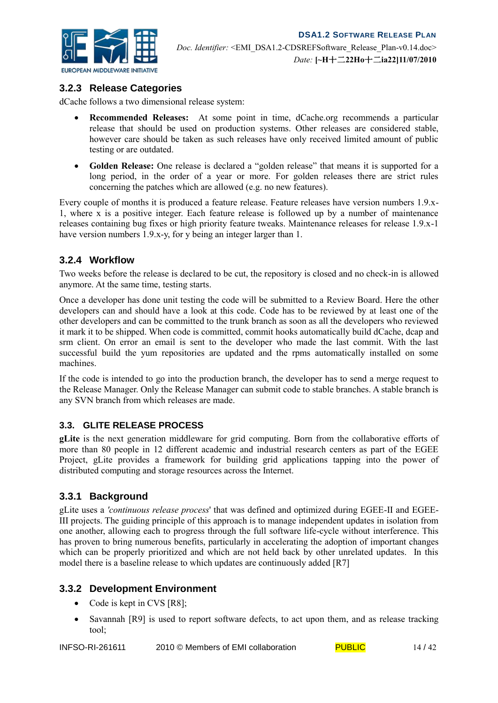

#### **3.2.3 Release Categories**

dCache follows a two dimensional release system:

- **Recommended Releases:** At some point in time, dCache.org recommends a particular release that should be used on production systems. Other releases are considered stable, however care should be taken as such releases have only received limited amount of public testing or are outdated.
- **Golden Release:** One release is declared a "golden release" that means it is supported for a long period, in the order of a year or more. For golden releases there are strict rules concerning the patches which are allowed (e.g. no new features).

Every couple of months it is produced a feature release. Feature releases have version numbers 1.9.x-1, where x is a positive integer. Each feature release is followed up by a number of maintenance releases containing bug fixes or high priority feature tweaks. Maintenance releases for release 1.9.x-1 have version numbers 1.9.x-y, for y being an integer larger than 1.

#### **3.2.4 Workflow**

Two weeks before the release is declared to be cut, the repository is closed and no check-in is allowed anymore. At the same time, testing starts.

Once a developer has done unit testing the code will be submitted to a Review Board. Here the other developers can and should have a look at this code. Code has to be reviewed by at least one of the other developers and can be committed to the trunk branch as soon as all the developers who reviewed it mark it to be shipped. When code is committed, commit hooks automatically build dCache, dcap and srm client. On error an email is sent to the developer who made the last commit. With the last successful build the yum repositories are updated and the rpms automatically installed on some machines.

If the code is intended to go into the production branch, the developer has to send a merge request to the Release Manager. Only the Release Manager can submit code to stable branches. A stable branch is any SVN branch from which releases are made.

#### <span id="page-13-0"></span>**3.3. GLITE RELEASE PROCESS**

**gLite** is the next generation middleware for grid computing. Born from the collaborative efforts of more than 80 people in 12 different academic and industrial research centers as part of the EGEE Project, gLite provides a framework for building grid applications tapping into the power of distributed computing and storage resources across the Internet.

#### **3.3.1 Background**

gLite uses a *'continuous release process*' that was defined and optimized during EGEE-II and EGEE-III projects. The guiding principle of this approach is to manage independent updates in isolation from one another, allowing each to progress through the full software life-cycle without interference. This has proven to bring numerous benefits, particularly in accelerating the adoption of important changes which can be properly prioritized and which are not held back by other unrelated updates. In this model there is a baseline release to which updates are continuously added [R7]

#### **3.3.2 Development Environment**

- Code is kept in CVS [R8];
- Savannah [R9] is used to report software defects, to act upon them, and as release tracking tool;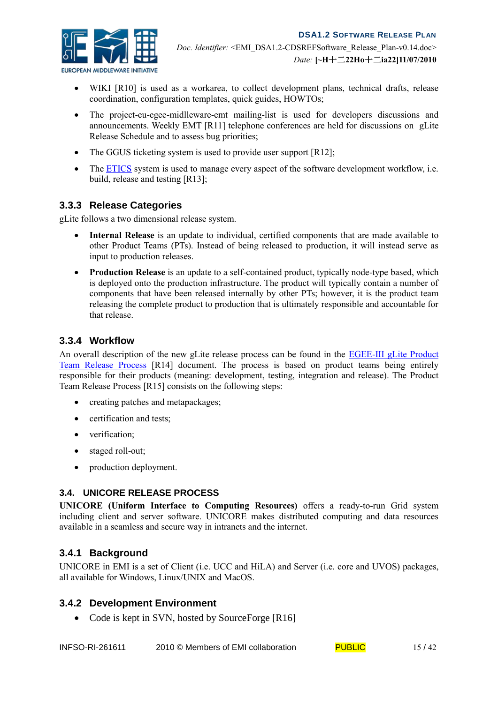

- WIKI [R10] is used as a workarea, to collect development plans, technical drafts, release coordination, configuration templates, quick guides, HOWTOs;
- The project-eu-egee-midlleware-emt mailing-list is used for developers discussions and announcements. Weekly EMT [R11] telephone conferences are held for discussions on gLite Release Schedule and to assess bug priorities;
- The GGUS ticketing system is used to provide user support [R12]:
- The [ETICS](https://twiki.cern.ch/twiki/bin/view/EGEE/ETICS) system is used to manage every aspect of the software development workflow, i.e. build, release and testing [R13];

#### **3.3.3 Release Categories**

gLite follows a two dimensional release system.

- **Internal Release** is an update to individual, certified components that are made available to other Product Teams (PTs). Instead of being released to production, it will instead serve as input to production releases.
- **Production Release** is an update to a self-contained product, typically node-type based, which is deployed onto the production infrastructure. The product will typically contain a number of components that have been released internally by other PTs; however, it is the product team releasing the complete product to production that is ultimately responsible and accountable for that release.

#### **3.3.4 Workflow**

An overall description of the new gLite release process can be found in the [EGEE-III gLite Product](https://edms.cern.ch/document/1041827/1)  [Team Release Process](https://edms.cern.ch/document/1041827/1) [R14] document. The process is based on product teams being entirely responsible for their products (meaning: development, testing, integration and release). The Product Team Release Process [R15] consists on the following steps:

- creating patches and metapackages;
- certification and tests;
- verification;
- staged roll-out;
- production deployment.

#### <span id="page-14-0"></span>**3.4. UNICORE RELEASE PROCESS**

**UNICORE (Uniform Interface to Computing Resources)** offers a ready-to-run Grid system including client and server software. UNICORE makes distributed computing and data resources available in a seamless and secure way in intranets and the internet.

#### **3.4.1 Background**

UNICORE in EMI is a set of Client (i.e. UCC and HiLA) and Server (i.e. core and UVOS) packages, all available for Windows, Linux/UNIX and MacOS.

#### **3.4.2 Development Environment**

• Code is kept in SVN, hosted by SourceForge [R16]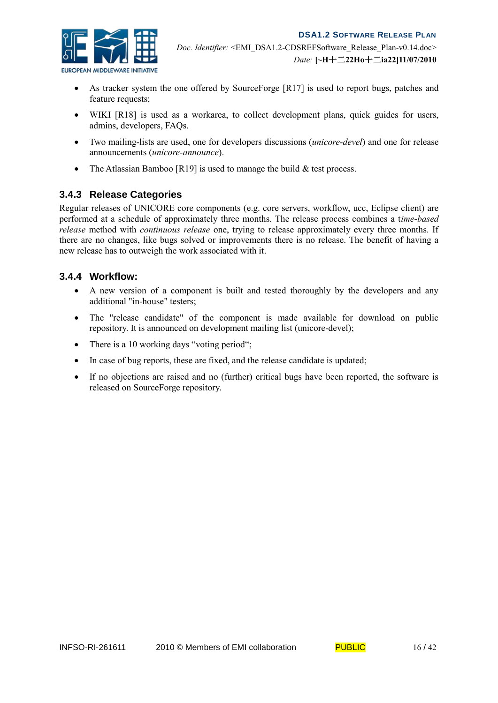

- As tracker system the one offered by SourceForge [R17] is used to report bugs, patches and feature requests;
- WIKI [R18] is used as a workarea, to collect development plans, quick guides for users, admins, developers, FAQs.
- Two mailing-lists are used, one for developers discussions (*unicore-devel*) and one for release announcements (*unicore-announce*).
- The Atlassian Bamboo [R19] is used to manage the build  $&$  test process.

#### **3.4.3 Release Categories**

Regular releases of UNICORE core components (e.g. core servers, workflow, ucc, Eclipse client) are performed at a schedule of approximately three months. The release process combines a t*ime-based release* method with *continuous release* one, trying to release approximately every three months. If there are no changes, like bugs solved or improvements there is no release. The benefit of having a new release has to outweigh the work associated with it.

#### **3.4.4 Workflow:**

- A new version of a component is built and tested thoroughly by the developers and any additional "in-house" testers;
- The "release candidate" of the component is made available for download on public repository. It is announced on development mailing list (unicore-devel);
- There is a 10 working days "voting period";
- In case of bug reports, these are fixed, and the release candidate is updated;
- If no objections are raised and no (further) critical bugs have been reported, the software is released on SourceForge repository.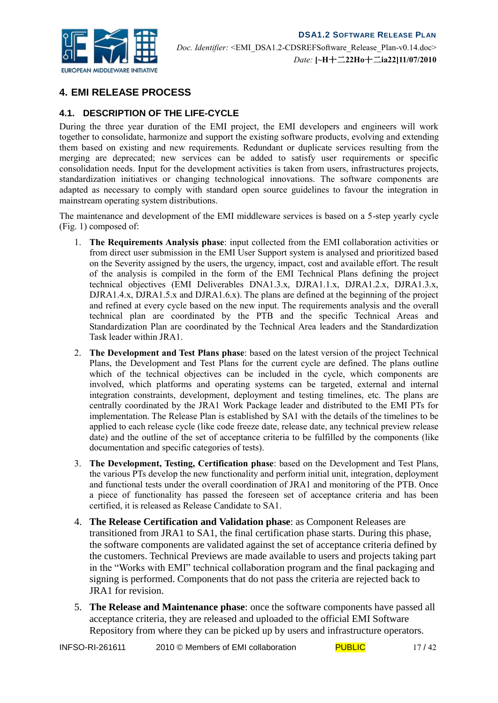

# <span id="page-16-0"></span>**4. EMI RELEASE PROCESS**

#### <span id="page-16-1"></span>**4.1. DESCRIPTION OF THE LIFE-CYCLE**

During the three year duration of the EMI project, the EMI developers and engineers will work together to consolidate, harmonize and support the existing software products, evolving and extending them based on existing and new requirements. Redundant or duplicate services resulting from the merging are deprecated; new services can be added to satisfy user requirements or specific consolidation needs. Input for the development activities is taken from users, infrastructures projects, standardization initiatives or changing technological innovations. The software components are adapted as necessary to comply with standard open source guidelines to favour the integration in mainstream operating system distributions.

The maintenance and development of the EMI middleware services is based on a 5-step yearly cycle (Fig. 1) composed of:

- 1. **The Requirements Analysis phase**: input collected from the EMI collaboration activities or from direct user submission in the EMI User Support system is analysed and prioritized based on the Severity assigned by the users, the urgency, impact, cost and available effort. The result of the analysis is compiled in the form of the EMI Technical Plans defining the project technical objectives (EMI Deliverables DNA1.3.x, DJRA1.1.x, DJRA1.2.x, DJRA1.3.x, DJRA1.4.x, DJRA1.5.x and DJRA1.6.x). The plans are defined at the beginning of the project and refined at every cycle based on the new input. The requirements analysis and the overall technical plan are coordinated by the PTB and the specific Technical Areas and Standardization Plan are coordinated by the Technical Area leaders and the Standardization Task leader within JRA1.
- 2. **The Development and Test Plans phase**: based on the latest version of the project Technical Plans, the Development and Test Plans for the current cycle are defined. The plans outline which of the technical objectives can be included in the cycle, which components are involved, which platforms and operating systems can be targeted, external and internal integration constraints, development, deployment and testing timelines, etc. The plans are centrally coordinated by the JRA1 Work Package leader and distributed to the EMI PTs for implementation. The Release Plan is established by SA1 with the details of the timelines to be applied to each release cycle (like code freeze date, release date, any technical preview release date) and the outline of the set of acceptance criteria to be fulfilled by the components (like documentation and specific categories of tests).
- 3. **The Development, Testing, Certification phase**: based on the Development and Test Plans, the various PTs develop the new functionality and perform initial unit, integration, deployment and functional tests under the overall coordination of JRA1 and monitoring of the PTB. Once a piece of functionality has passed the foreseen set of acceptance criteria and has been certified, it is released as Release Candidate to SA1.
- 4. **The Release Certification and Validation phase**: as Component Releases are transitioned from JRA1 to SA1, the final certification phase starts. During this phase, the software components are validated against the set of acceptance criteria defined by the customers. Technical Previews are made available to users and projects taking part in the "Works with EMI" technical collaboration program and the final packaging and signing is performed. Components that do not pass the criteria are rejected back to JRA1 for revision.
- 5. **The Release and Maintenance phase**: once the software components have passed all acceptance criteria, they are released and uploaded to the official EMI Software Repository from where they can be picked up by users and infrastructure operators.

INFSO-RI-261611 2010 © Members of EMI collaboration PUBLIC 17/42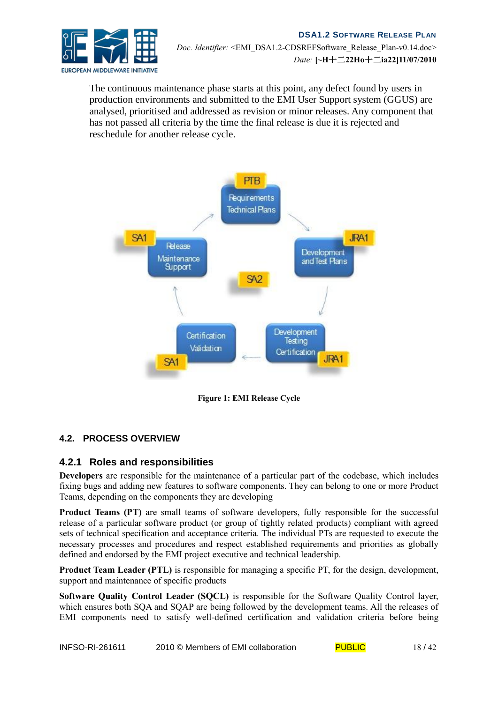

**DSA1.2 SOFTWARE RELEASE PLAN** *Doc. Identifier:* <EMI\_DSA1.2-CDSREFSoftware\_Release\_Plan-v0.14.doc> *Date:* **[~H**十二**22Ho**十二**ia22]11/07/2010**

The continuous maintenance phase starts at this point, any defect found by users in production environments and submitted to the EMI User Support system (GGUS) are analysed, prioritised and addressed as revision or minor releases. Any component that has not passed all criteria by the time the final release is due it is rejected and reschedule for another release cycle.



**Figure 1: EMI Release Cycle**

#### <span id="page-17-0"></span>**4.2. PROCESS OVERVIEW**

#### <span id="page-17-1"></span>**4.2.1 Roles and responsibilities**

**Developers** are responsible for the maintenance of a particular part of the codebase, which includes fixing bugs and adding new features to software components. They can belong to one or more Product Teams, depending on the components they are developing

**Product Teams (PT)** are small teams of software developers, fully responsible for the successful release of a particular software product (or group of tightly related products) compliant with agreed sets of technical specification and acceptance criteria. The individual PTs are requested to execute the necessary processes and procedures and respect established requirements and priorities as globally defined and endorsed by the EMI project executive and technical leadership.

**Product Team Leader (PTL)** is responsible for managing a specific PT, for the design, development, support and maintenance of specific products

**Software Quality Control Leader (SQCL)** is responsible for the Software Quality Control layer, which ensures both SQA and SQAP are being followed by the development teams. All the releases of EMI components need to satisfy well-defined certification and validation criteria before being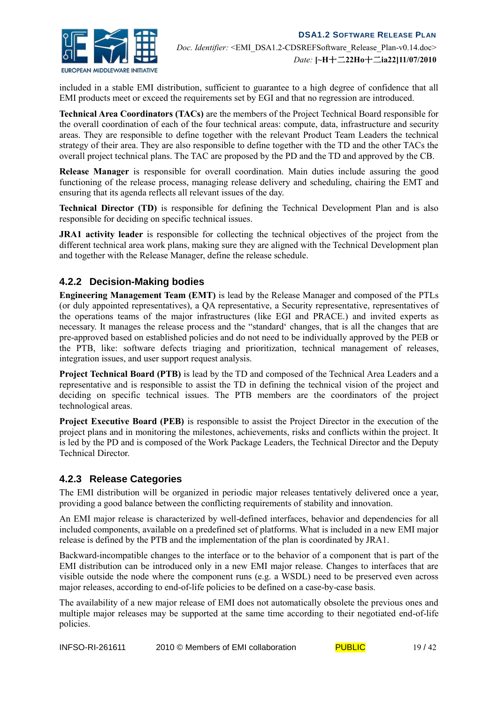

included in a stable EMI distribution, sufficient to guarantee to a high degree of confidence that all EMI products meet or exceed the requirements set by EGI and that no regression are introduced.

**Technical Area Coordinators (TACs)** are the members of the Project Technical Board responsible for the overall coordination of each of the four technical areas: compute, data, infrastructure and security areas. They are responsible to define together with the relevant Product Team Leaders the technical strategy of their area. They are also responsible to define together with the TD and the other TACs the overall project technical plans. The TAC are proposed by the PD and the TD and approved by the CB.

**Release Manager** is responsible for overall coordination. Main duties include assuring the good functioning of the release process, managing release delivery and scheduling, chairing the EMT and ensuring that its agenda reflects all relevant issues of the day.

**Technical Director (TD)** is responsible for defining the Technical Development Plan and is also responsible for deciding on specific technical issues.

**JRA1 activity leader** is responsible for collecting the technical objectives of the project from the different technical area work plans, making sure they are aligned with the Technical Development plan and together with the Release Manager, define the release schedule.

#### <span id="page-18-0"></span>**4.2.2 Decision-Making bodies**

**Engineering Management Team (EMT)** is lead by the Release Manager and composed of the PTLs (or duly appointed representatives), a QA representative, a Security representative, representatives of the operations teams of the major infrastructures (like EGI and PRACE.) and invited experts as necessary. It manages the release process and the "standard" changes, that is all the changes that are pre-approved based on established policies and do not need to be individually approved by the PEB or the PTB, like: software defects triaging and prioritization, technical management of releases, integration issues, and user support request analysis.

**Project Technical Board (PTB)** is lead by the TD and composed of the Technical Area Leaders and a representative and is responsible to assist the TD in defining the technical vision of the project and deciding on specific technical issues. The PTB members are the coordinators of the project technological areas.

**Project Executive Board (PEB)** is responsible to assist the Project Director in the execution of the project plans and in monitoring the milestones, achievements, risks and conflicts within the project. It is led by the PD and is composed of the Work Package Leaders, the Technical Director and the Deputy Technical Director.

#### <span id="page-18-1"></span>**4.2.3 Release Categories**

The EMI distribution will be organized in periodic major releases tentatively delivered once a year, providing a good balance between the conflicting requirements of stability and innovation.

An EMI major release is characterized by well-defined interfaces, behavior and dependencies for all included components, available on a predefined set of platforms. What is included in a new EMI major release is defined by the PTB and the implementation of the plan is coordinated by JRA1.

Backward-incompatible changes to the interface or to the behavior of a component that is part of the EMI distribution can be introduced only in a new EMI major release. Changes to interfaces that are visible outside the node where the component runs (e.g. a WSDL) need to be preserved even across major releases, according to end-of-life policies to be defined on a case-by-case basis.

The availability of a new major release of EMI does not automatically obsolete the previous ones and multiple major releases may be supported at the same time according to their negotiated end-of-life policies.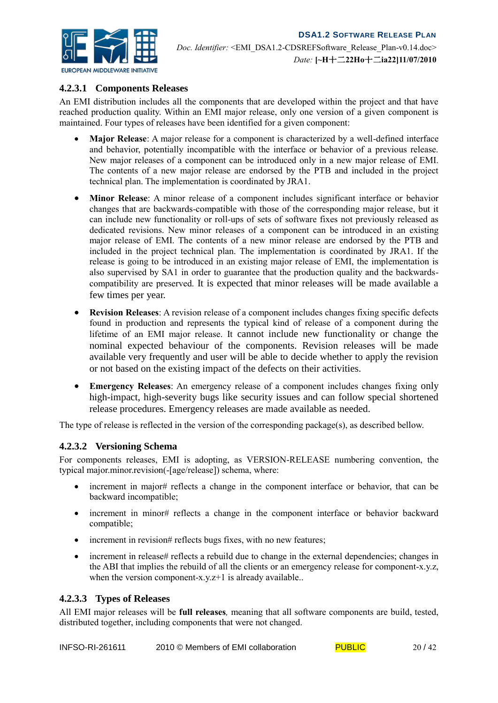

#### **4.2.3.1 Components Releases**

An EMI distribution includes all the components that are developed within the project and that have reached production quality. Within an EMI major release, only one version of a given component is maintained. Four types of releases have been identified for a given component:

- **Major Release**: A major release for a component is characterized by a well-defined interface and behavior, potentially incompatible with the interface or behavior of a previous release. New major releases of a component can be introduced only in a new major release of EMI. The contents of a new major release are endorsed by the PTB and included in the project technical plan. The implementation is coordinated by JRA1.
- **Minor Release**: A minor release of a component includes significant interface or behavior changes that are backwards-compatible with those of the corresponding major release, but it can include new functionality or roll-ups of sets of software fixes not previously released as dedicated revisions. New minor releases of a component can be introduced in an existing major release of EMI. The contents of a new minor release are endorsed by the PTB and included in the project technical plan. The implementation is coordinated by JRA1. If the release is going to be introduced in an existing major release of EMI, the implementation is also supervised by SA1 in order to guarantee that the production quality and the backwardscompatibility are preserved. It is expected that minor releases will be made available a few times per year.
- **Revision Releases**: A revision release of a component includes changes fixing specific defects found in production and represents the typical kind of release of a component during the lifetime of an EMI major release. It cannot include new functionality or change the nominal expected behaviour of the components. Revision releases will be made available very frequently and user will be able to decide whether to apply the revision or not based on the existing impact of the defects on their activities.
- **Emergency Releases**: An emergency release of a component includes changes fixing only high-impact, high-severity bugs like security issues and can follow special shortened release procedures. Emergency releases are made available as needed.

The type of release is reflected in the version of the corresponding package(s), as described bellow.

#### **4.2.3.2 Versioning Schema**

For components releases, EMI is adopting, as VERSION-RELEASE numbering convention, the typical major.minor.revision(-[age/release]) schema, where:

- increment in major# reflects a change in the component interface or behavior, that can be backward incompatible;
- increment in minor# reflects a change in the component interface or behavior backward compatible;
- increment in revision# reflects bugs fixes, with no new features;
- increment in release# reflects a rebuild due to change in the external dependencies; changes in the ABI that implies the rebuild of all the clients or an emergency release for component-x.y.z, when the version component-x.y.z+1 is already available..

#### **4.2.3.3 Types of Releases**

All EMI major releases will be **full releases***,* meaning that all software components are build, tested, distributed together, including components that were not changed.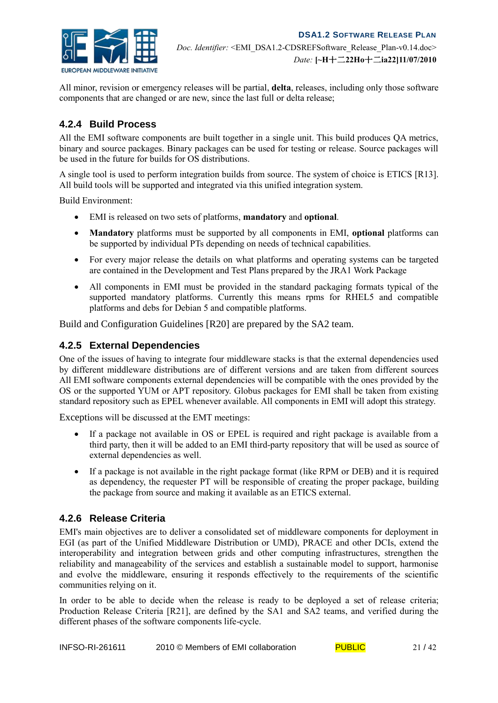All minor, revision or emergency releases will be partial, **delta**, releases, including only those software components that are changed or are new, since the last full or delta release;

#### <span id="page-20-0"></span>**4.2.4 Build Process**

All the EMI software components are built together in a single unit. This build produces QA metrics, binary and source packages. Binary packages can be used for testing or release. Source packages will be used in the future for builds for OS distributions.

A single tool is used to perform integration builds from source. The system of choice is ETICS [R13]. All build tools will be supported and integrated via this unified integration system.

Build Environment:

- EMI is released on two sets of platforms, **mandatory** and **optional**.
- **Mandatory** platforms must be supported by all components in EMI, **optional** platforms can be supported by individual PTs depending on needs of technical capabilities.
- For every major release the details on what platforms and operating systems can be targeted are contained in the Development and Test Plans prepared by the JRA1 Work Package
- All components in EMI must be provided in the standard packaging formats typical of the supported mandatory platforms. Currently this means rpms for RHEL5 and compatible platforms and debs for Debian 5 and compatible platforms.

Build and Configuration Guidelines [R20] are prepared by the SA2 team.

#### <span id="page-20-1"></span>**4.2.5 External Dependencies**

One of the issues of having to integrate four middleware stacks is that the external dependencies used by different middleware distributions are of different versions and are taken from different sources All EMI software components external dependencies will be compatible with the ones provided by the OS or the supported YUM or APT repository. Globus packages for EMI shall be taken from existing standard repository such as EPEL whenever available. All components in EMI will adopt this strategy.

Exceptions will be discussed at the EMT meetings:

- If a package not available in OS or EPEL is required and right package is available from a third party, then it will be added to an EMI third-party repository that will be used as source of external dependencies as well.
- If a package is not available in the right package format (like RPM or DEB) and it is required as dependency, the requester PT will be responsible of creating the proper package, building the package from source and making it available as an ETICS external.

#### <span id="page-20-2"></span>**4.2.6 Release Criteria**

EMI's main objectives are to deliver a consolidated set of middleware components for deployment in EGI (as part of the Unified Middleware Distribution or UMD), PRACE and other DCIs, extend the interoperability and integration between grids and other computing infrastructures, strengthen the reliability and manageability of the services and establish a sustainable model to support, harmonise and evolve the middleware, ensuring it responds effectively to the requirements of the scientific communities relying on it.

In order to be able to decide when the release is ready to be deployed a set of release criteria; Production Release Criteria [R21], are defined by the SA1 and SA2 teams, and verified during the different phases of the software components life-cycle.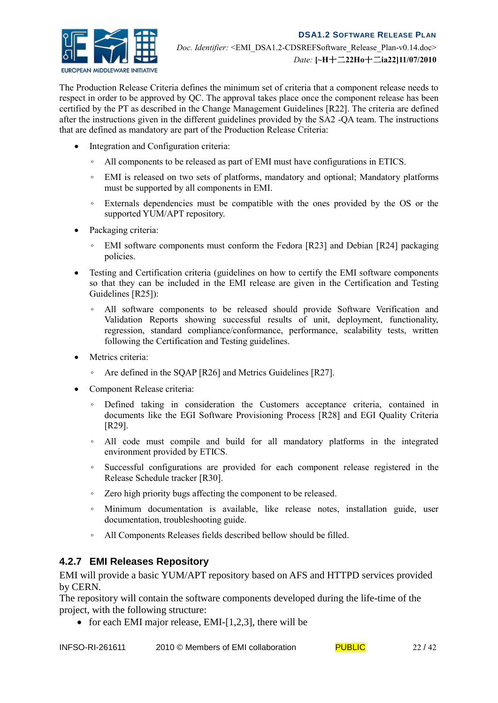

The Production Release Criteria defines the minimum set of criteria that a component release needs to respect in order to be approved by QC. The approval takes place once the component release has been certified by the PT as described in the Change Management Guidelines [R22]. The criteria are defined after the instructions given in the different guidelines provided by the SA2 -QA team. The instructions that are defined as mandatory are part of the Production Release Criteria:

- Integration and Configuration criteria:
	- All components to be released as part of EMI must have configurations in ETICS.
	- EMI is released on two sets of platforms, mandatory and optional; Mandatory platforms must be supported by all components in EMI.
	- Externals dependencies must be compatible with the ones provided by the OS or the supported YUM/APT repository.
- Packaging criteria:
	- EMI software components must conform the Fedora [R23] and Debian [R24] packaging policies.
- Testing and Certification criteria (guidelines on how to certify the EMI software components so that they can be included in the EMI release are given in the Certification and Testing Guidelines [R25]):
	- All software components to be released should provide Software Verification and Validation Reports showing successful results of unit, deployment, functionality, regression, standard compliance/conformance, performance, scalability tests, written following the Certification and Testing guidelines.
- Metrics criteria:
	- Are defined in the SQAP [R26] and Metrics Guidelines [R27].
- Component Release criteria:
	- Defined taking in consideration the Customers acceptance criteria, contained in documents like the EGI Software Provisioning Process [R28] and EGI Quality Criteria [R29].
	- All code must compile and build for all mandatory platforms in the integrated environment provided by ETICS.
	- Successful configurations are provided for each component release registered in the Release Schedule tracker [R30].
	- Zero high priority bugs affecting the component to be released.
	- Minimum documentation is available, like release notes, installation guide, user documentation, troubleshooting guide.
	- All Components Releases fields described bellow should be filled.

#### <span id="page-21-0"></span>**4.2.7 EMI Releases Repository**

EMI will provide a basic YUM/APT repository based on AFS and HTTPD services provided by CERN.

The repository will contain the software components developed during the life-time of the project, with the following structure:

• for each EMI major release, EMI- $[1,2,3]$ , there will be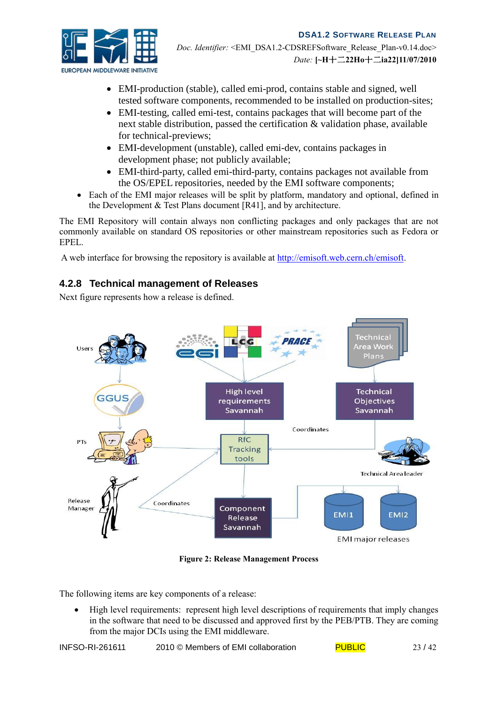

- EMI-production (stable), called emi-prod, contains stable and signed, well tested software components, recommended to be installed on production-sites;
- EMI-testing, called emi-test, contains packages that will become part of the next stable distribution, passed the certification & validation phase, available for technical-previews;
- EMI-development (unstable), called emi-dev, contains packages in development phase; not publicly available;
- EMI-third-party, called emi-third-party, contains packages not available from the OS/EPEL repositories, needed by the EMI software components;
- Each of the EMI major releases will be split by platform, mandatory and optional, defined in the Development & Test Plans document [R41], and by architecture.

The EMI Repository will contain always non conflicting packages and only packages that are not commonly available on standard OS repositories or other mainstream repositories such as Fedora or EPEL.

A web interface for browsing the repository is available at [http://emisoft.web.cern.ch/emisoft.](http://emisoft.web.cern.ch/emisoft)

# <span id="page-22-0"></span>**4.2.8 Technical management of Releases**

Next figure represents how a release is defined.



**Figure 2: Release Management Process**

The following items are key components of a release:

 High level requirements: represent high level descriptions of requirements that imply changes in the software that need to be discussed and approved first by the PEB/PTB. They are coming from the major DCIs using the EMI middleware.

INFSO-RI-261611 2010 © Members of EMI collaboration  $PUBLIC$  23/42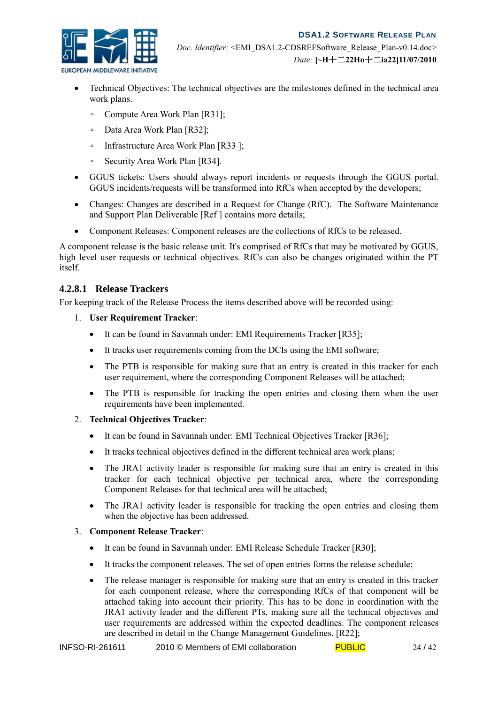

**EUROPEAN MIDDLEWARE INITIATIVE** 

- Technical Objectives: The technical objectives are the milestones defined in the technical area work plans.
	- Compute Area Work Plan [R31];
	- Data Area Work Plan [R32];
	- Infrastructure Area Work Plan [R33 ];
	- Security Area Work Plan [R34].
- GGUS tickets: Users should always report incidents or requests through the GGUS portal. GGUS incidents/requests will be transformed into RfCs when accepted by the developers;
- Changes: Changes are described in a Request for Change (RfC). The Software Maintenance and Support Plan Deliverable [Ref ] contains more details;
- Component Releases: Component releases are the collections of RfCs to be released.

A component release is the basic release unit. It's comprised of RfCs that may be motivated by GGUS, high level user requests or technical objectives. RfCs can also be changes originated within the PT itself.

#### **4.2.8.1 Release Trackers**

For keeping track of the Release Process the items described above will be recorded using:

- 1. **User Requirement Tracker**:
	- It can be found in Savannah under: EMI Requirements Tracker [R35];
	- It tracks user requirements coming from the DCIs using the EMI software;
	- The PTB is responsible for making sure that an entry is created in this tracker for each user requirement, where the corresponding Component Releases will be attached;
	- The PTB is responsible for tracking the open entries and closing them when the user requirements have been implemented.

#### 2. **Technical Objectives Tracker**:

- It can be found in Savannah under: EMI Technical Objectives Tracker [R36];
- It tracks technical objectives defined in the different technical area work plans;
- The JRA1 activity leader is responsible for making sure that an entry is created in this tracker for each technical objective per technical area, where the corresponding Component Releases for that technical area will be attached;
- The JRA1 activity leader is responsible for tracking the open entries and closing them when the objective has been addressed.

#### 3. **Component Release Tracker**:

- It can be found in Savannah under: EMI Release Schedule Tracker [R30];
- It tracks the component releases. The set of open entries forms the release schedule;
- The release manager is responsible for making sure that an entry is created in this tracker for each component release, where the corresponding RfCs of that component will be attached taking into account their priority. This has to be done in coordination with the JRA1 activity leader and the different PTs, making sure all the technical objectives and user requirements are addressed within the expected deadlines. The component releases are described in detail in the Change Management Guidelines. [R22];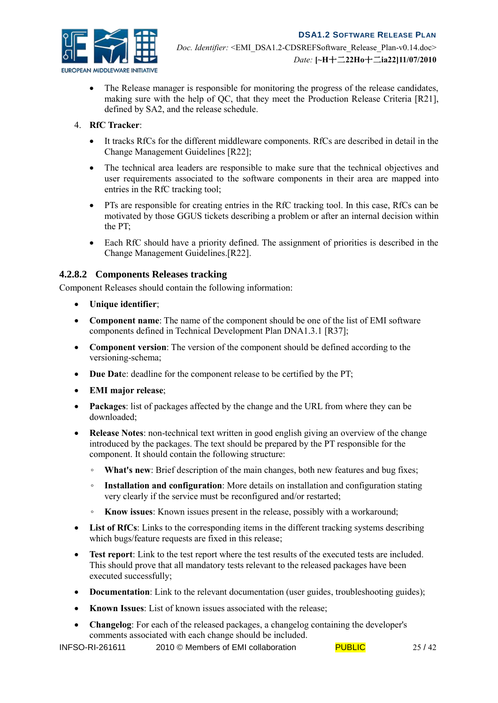

 The Release manager is responsible for monitoring the progress of the release candidates, making sure with the help of QC, that they meet the Production Release Criteria [R21], defined by SA2, and the release schedule.

#### 4. **RfC Tracker**:

- It tracks RfCs for the different middleware components. RfCs are described in detail in the Change Management Guidelines [R22];
- The technical area leaders are responsible to make sure that the technical objectives and user requirements associated to the software components in their area are mapped into entries in the RfC tracking tool;
- PTs are responsible for creating entries in the RfC tracking tool. In this case, RfCs can be motivated by those GGUS tickets describing a problem or after an internal decision within the PT;
- Each RfC should have a priority defined. The assignment of priorities is described in the Change Management Guidelines.[R22].

#### **4.2.8.2 Components Releases tracking**

Component Releases should contain the following information:

- **Unique identifier**;
- **Component name**: The name of the component should be one of the list of EMI software components defined i[n Technical Development Plan DNA1.3.1](https://twiki.cern.ch/twiki/bin/view/EMI/DeliverableDNA131) [R37];
- **Component version**: The version of the component should be defined according to the versioning-schema;
- Due Date: deadline for the component release to be certified by the PT;
- **EMI major release**;
- **Packages**: list of packages affected by the change and the URL from where they can be downloaded;
- **Release Notes**: non-technical text written in good english giving an overview of the change introduced by the packages. The text should be prepared by the PT responsible for the component. It should contain the following structure:
	- **What's new**: Brief description of the main changes, both new features and bug fixes;
	- **Installation and configuration**: More details on installation and configuration stating very clearly if the service must be reconfigured and/or restarted;
	- **Know issues**: Known issues present in the release, possibly with a workaround;
- **List of RfCs**: Links to the corresponding items in the different tracking systems describing which bugs/feature requests are fixed in this release;
- **Test report**: Link to the test report where the test results of the executed tests are included. This should prove that all mandatory tests relevant to the released packages have been executed successfully;
- **Documentation**: Link to the relevant documentation (user guides, troubleshooting guides);
- **Known Issues**: List of known issues associated with the release;
- **Changelog**: For each of the released packages, a changelog containing the developer's comments associated with each change should be included.

INFSO-RI-261611 2010 © Members of EMI collaboration  $PUBLIC$  25/42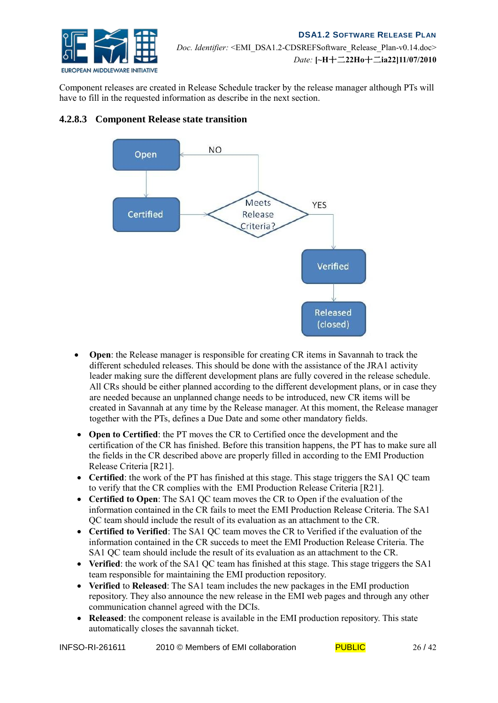

Component releases are created in Release Schedule tracker by the release manager although PTs will have to fill in the requested information as describe in the next section.



#### **4.2.8.3 Component Release state transition**

- **Open**: the Release manager is responsible for creating CR items in Savannah to track the different scheduled releases. This should be done with the assistance of the JRA1 activity leader making sure the different development plans are fully covered in the release schedule. All CRs should be either planned according to the different development plans, or in case they are needed because an unplanned change needs to be introduced, new CR items will be created in Savannah at any time by the Release manager. At this moment, the Release manager together with the PTs, defines a Due Date and some other mandatory fields.
- **Open to Certified**: the PT moves the CR to Certified once the development and the certification of the CR has finished. Before this transition happens, the PT has to make sure all the fields in the CR described above are properly filled in according to the EMI Production Release Criteria [R21].
- **Certified**: the work of the PT has finished at this stage. This stage triggers the SA1 QC team to verify that the CR complies with the EMI Production Release Criteria [R21].
- **Certified to Open**: The SA1 QC team moves the CR to Open if the evaluation of the information contained in the CR fails to meet the EMI Production Release Criteria. The SA1 QC team should include the result of its evaluation as an attachment to the CR.
- **Certified to Verified**: The SA1 QC team moves the CR to Verified if the evaluation of the information contained in the CR succeds to meet the EMI Production Release Criteria. The SA1 QC team should include the result of its evaluation as an attachment to the CR.
- Verified: the work of the SA1 OC team has finished at this stage. This stage triggers the SA1 team responsible for maintaining the EMI production repository.
- **Verified** to **Released**: The SA1 team includes the new packages in the EMI production repository. They also announce the new release in the EMI web pages and through any other communication channel agreed with the DCIs.
- **Released**: the component release is available in the EMI production repository. This state automatically closes the savannah ticket.

| <b>INFSO-RI-261611</b> | 2010 © Members of EMI collaboration | <b>PUBLIC</b> | 26/42 |
|------------------------|-------------------------------------|---------------|-------|
|------------------------|-------------------------------------|---------------|-------|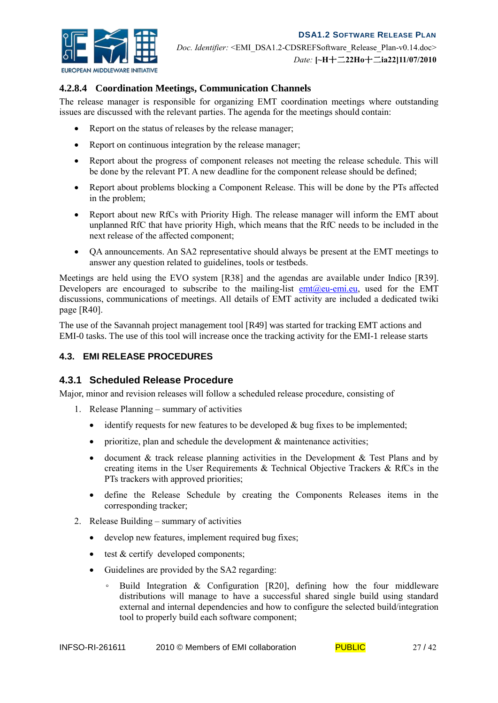

#### **4.2.8.4 Coordination Meetings, Communication Channels**

The release manager is responsible for organizing EMT coordination meetings where outstanding issues are discussed with the relevant parties. The agenda for the meetings should contain:

- Report on the status of releases by the release manager;
- Report on continuous integration by the release manager;
- Report about the progress of component releases not meeting the release schedule. This will be done by the relevant PT. A new deadline for the component release should be defined;
- Report about problems blocking a Component Release. This will be done by the PTs affected in the problem;
- Report about new RfCs with Priority High. The release manager will inform the EMT about unplanned RfC that have priority High, which means that the RfC needs to be included in the next release of the affected component;
- OA announcements. An SA2 representative should always be present at the EMT meetings to answer any question related to guidelines, tools or testbeds.

Meetings are held using the EVO system [R38] and the agendas are available under Indico [R39]. Developers are encouraged to subscribe to the mailing-list  $emt@eu-emieu$ , used for the EMT discussions, communications of meetings. All details of EMT activity are included a dedicated twiki page [R40].

The use of the Savannah project management tool [R49] was started for tracking EMT actions and EMI-0 tasks. The use of this tool will increase once the tracking activity for the EMI-1 release starts

#### <span id="page-26-0"></span>**4.3. EMI RELEASE PROCEDURES**

#### <span id="page-26-1"></span>**4.3.1 Scheduled Release Procedure**

Major, minor and revision releases will follow a scheduled release procedure, consisting of

- 1. Release Planning summary of activities
	- $\bullet$  identify requests for new features to be developed  $\&$  bug fixes to be implemented;
	- prioritize, plan and schedule the development  $&$  maintenance activities;
	- document  $&$  track release planning activities in the Development  $&$  Test Plans and by creating items in the User Requirements & Technical Objective Trackers & RfCs in the PTs trackers with approved priorities;
	- define the Release Schedule by creating the Components Releases items in the corresponding tracker;
- 2. Release Building summary of activities
	- develop new features, implement required bug fixes;
	- $\bullet$  test  $\&$  certify developed components:
	- Guidelines are provided by the SA2 regarding:
		- Build Integration  $\&$  Configuration [R20], defining how the four middleware distributions will manage to have a successful shared single build using standard external and internal dependencies and how to configure the selected build/integration tool to properly build each software component;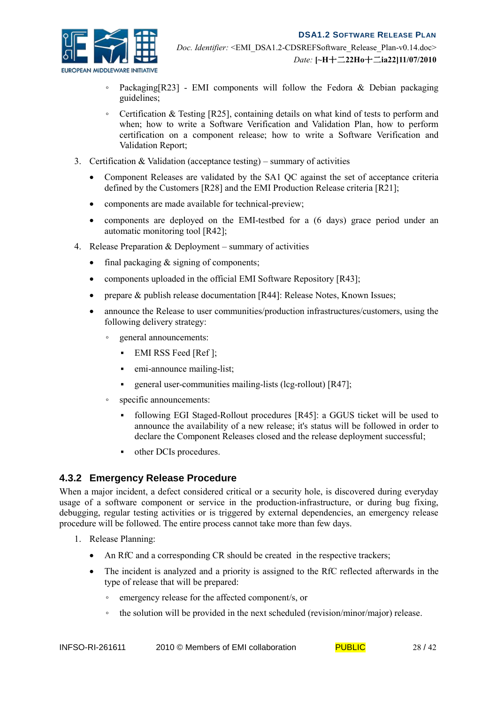

- Packaging[R23] EMI components will follow the Fedora & Debian packaging guidelines;
- Certification & Testing [R25], containing details on what kind of tests to perform and when; how to write a Software Verification and Validation Plan, how to perform certification on a component release; how to write a Software Verification and Validation Report;
- 3. Certification  $&$  Validation (acceptance testing) summary of activities
	- Component Releases are validated by the SA1 QC against the set of acceptance criteria defined by the Customers [R28] and the EMI Production Release criteria [R21];
	- components are made available for technical-preview;
	- components are deployed on the EMI-testbed for a (6 days) grace period under an automatic monitoring tool [R42];
- 4. Release Preparation & Deployment summary of activities
	- final packaging & signing of components:
	- components uploaded in the official EMI Software Repository [R43];
	- prepare & publish release documentation [R44]: Release Notes, Known Issues;
	- announce the Release to user communities/production infrastructures/customers, using the following delivery strategy:
		- general announcements:
			- EMI RSS Feed [Ref];
			- emi-announce mailing-list;
			- general user-communities mailing-lists (lcg-rollout) [R47];
		- specific announcements:
			- following EGI Staged-Rollout procedures [R45]: a GGUS ticket will be used to announce the availability of a new release; it's status will be followed in order to declare the Component Releases closed and the release deployment successful;
			- other DCIs procedures.

#### <span id="page-27-0"></span>**4.3.2 Emergency Release Procedure**

When a major incident, a defect considered critical or a security hole, is discovered during everyday usage of a software component or service in the production-infrastructure, or during bug fixing, debugging, regular testing activities or is triggered by external dependencies, an emergency release procedure will be followed. The entire process cannot take more than few days.

- 1. Release Planning:
	- An RfC and a corresponding CR should be created in the respective trackers;
	- The incident is analyzed and a priority is assigned to the RfC reflected afterwards in the type of release that will be prepared:
		- emergency release for the affected component/s, or
		- the solution will be provided in the next scheduled (revision/minor/major) release.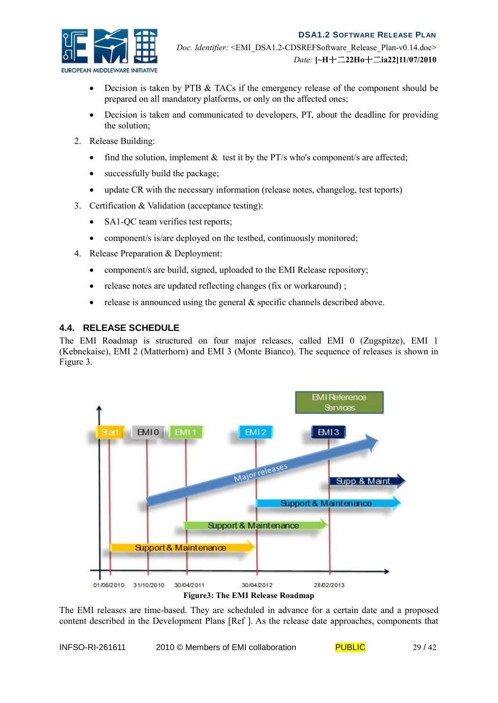

- Decision is taken by PTB & TACs if the emergency release of the component should be prepared on all mandatory platforms, or only on the affected ones;
- Decision is taken and communicated to developers, PT, about the deadline for providing the solution;
- 2. Release Building:
	- find the solution, implement  $&$  test it by the PT/s who's component/s are affected;
	- successfully build the package;
	- update CR with the necessary information (release notes, changelog, test teports)
- 3. Certification & Validation (acceptance testing):
	- SA1-QC team verifies test reports;
	- component/s is/are deployed on the testbed, continuously monitored;
- 4. Release Preparation & Deployment:
	- component/s are build, signed, uploaded to the EMI Release repository;
	- release notes are updated reflecting changes (fix or workaround);
	- $\bullet$  release is announced using the general  $\&$  specific channels described above.

#### <span id="page-28-0"></span>**4.4. RELEASE SCHEDULE**

The EMI Roadmap is structured on four major releases, called EMI 0 (Zugspitze), EMI 1 (Kebnekaise), EMI 2 (Matterhorn) and EMI 3 (Monte Bianco). The sequence of releases is shown in Figure 3.



The EMI releases are time-based. They are scheduled in advance for a certain date and a proposed content described in the Development Plans [Ref ]. As the release date approaches, components that

INFSO-RI-261611 2010 © Members of EMI collaboration PUBLIC 29/42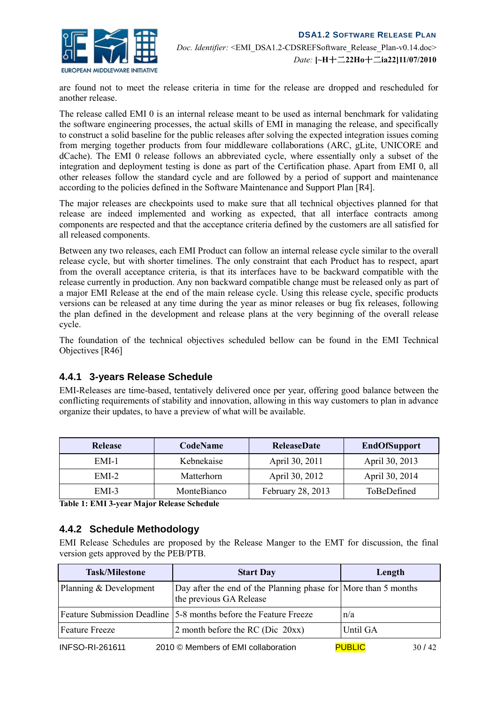are found not to meet the release criteria in time for the release are dropped and rescheduled for another release.

The release called EMI 0 is an internal release meant to be used as internal benchmark for validating the software engineering processes, the actual skills of EMI in managing the release, and specifically to construct a solid baseline for the public releases after solving the expected integration issues coming from merging together products from four middleware collaborations (ARC, gLite, UNICORE and dCache). The EMI 0 release follows an abbreviated cycle, where essentially only a subset of the integration and deployment testing is done as part of the Certification phase. Apart from EMI 0, all other releases follow the standard cycle and are followed by a period of support and maintenance according to the policies defined in the Software Maintenance and Support Plan [R4].

The major releases are checkpoints used to make sure that all technical objectives planned for that release are indeed implemented and working as expected, that all interface contracts among components are respected and that the acceptance criteria defined by the customers are all satisfied for all released components.

Between any two releases, each EMI Product can follow an internal release cycle similar to the overall release cycle, but with shorter timelines. The only constraint that each Product has to respect, apart from the overall acceptance criteria, is that its interfaces have to be backward compatible with the release currently in production. Any non backward compatible change must be released only as part of a major EMI Release at the end of the main release cycle. Using this release cycle, specific products versions can be released at any time during the year as minor releases or bug fix releases, following the plan defined in the development and release plans at the very beginning of the overall release cycle.

The foundation of the technical objectives scheduled bellow can be found in the EMI Technical Objectives [R46]

#### <span id="page-29-0"></span>**4.4.1 3-years Release Schedule**

EMI-Releases are time-based, tentatively delivered once per year, offering good balance between the conflicting requirements of stability and innovation, allowing in this way customers to plan in advance organize their updates, to have a preview of what will be available.

| <b>Release</b> | CodeName    | ReleaseDate       | <b>EndOfSupport</b> |
|----------------|-------------|-------------------|---------------------|
| EMI-1          | Kebnekaise  | April 30, 2011    | April 30, 2013      |
| EMI-2          | Matterhorn  | April 30, 2012    | April 30, 2014      |
| EMI-3          | MonteBianco | February 28, 2013 | ToBeDefined         |

**Table 1: EMI 3-year Major Release Schedule** 

#### <span id="page-29-1"></span>**4.4.2 Schedule Methodology**

EMI Release Schedules are proposed by the Release Manger to the EMT for discussion, the final version gets approved by the PEB/PTB.

| <b>Task/Milestone</b>  | <b>Start Day</b>                                                                          | Length                 |
|------------------------|-------------------------------------------------------------------------------------------|------------------------|
| Planning & Development | Day after the end of the Planning phase for More than 5 months<br>the previous GA Release |                        |
|                        | Feature Submission Deadline 15-8 months before the Feature Freeze                         | n/a                    |
| <b>Feature Freeze</b>  | 2 month before the RC (Dic $20xx$ )                                                       | Until GA               |
| <b>INFSO-RI-261611</b> | 2010 © Members of EMI collaboration                                                       | <b>PUBLIC</b><br>30/42 |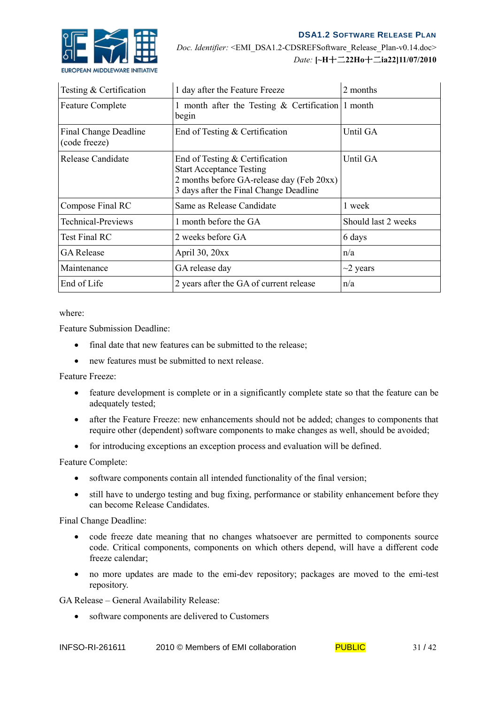

| Testing & Certification                | 1 day after the Feature Freeze                                                                                                                           | 2 months            |
|----------------------------------------|----------------------------------------------------------------------------------------------------------------------------------------------------------|---------------------|
| <b>Feature Complete</b>                | 1 month after the Testing $\&$ Certification 1 month<br>begin                                                                                            |                     |
| Final Change Deadline<br>(code freeze) | End of Testing & Certification                                                                                                                           | Until GA            |
| Release Candidate                      | End of Testing & Certification<br><b>Start Acceptance Testing</b><br>2 months before GA-release day (Feb 20xx)<br>3 days after the Final Change Deadline | Until GA            |
| Compose Final RC                       | Same as Release Candidate                                                                                                                                | 1 week              |
| <b>Technical-Previews</b>              | 1 month before the GA                                                                                                                                    | Should last 2 weeks |
| Test Final RC                          | 2 weeks before GA                                                                                                                                        | 6 days              |
| <b>GA Release</b>                      | April $30, 20xx$                                                                                                                                         | n/a                 |
| Maintenance                            | GA release day                                                                                                                                           | $\sim$ 2 years      |
| End of Life                            | 2 years after the GA of current release                                                                                                                  | n/a                 |

where:

Feature Submission Deadline:

- final date that new features can be submitted to the release;
- new features must be submitted to next release.

Feature Freeze:

- feature development is complete or in a significantly complete state so that the feature can be adequately tested;
- after the Feature Freeze: new enhancements should not be added; changes to components that require other (dependent) software components to make changes as well, should be avoided;
- for introducing exceptions an exception process and evaluation will be defined.

Feature Complete:

- software components contain all intended functionality of the final version;
- still have to undergo testing and bug fixing, performance or stability enhancement before they can become Release Candidates.

Final Change Deadline:

- code freeze date meaning that no changes whatsoever are permitted to components source code. Critical components, components on which others depend, will have a different code freeze calendar;
- no more updates are made to the emi-dev repository; packages are moved to the emi-test repository.

GA Release – General Availability Release:

software components are delivered to Customers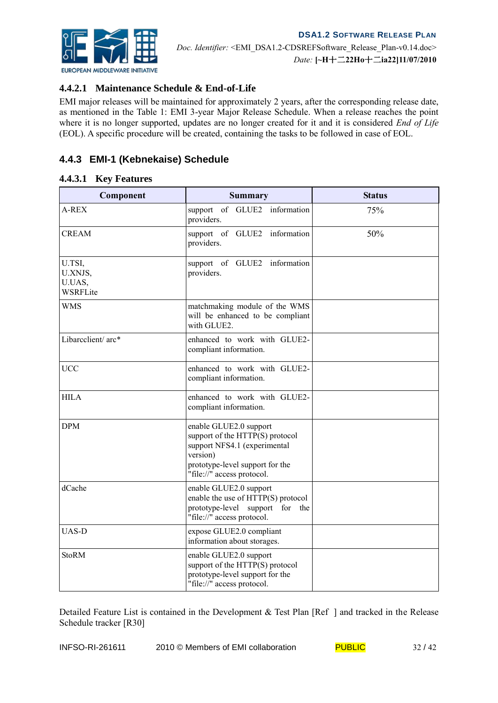

#### **4.4.2.1 Maintenance Schedule & End-of-Life**

EMI major releases will be maintained for approximately 2 years, after the corresponding release date, as mentioned in the Table 1: EMI 3-year Major Release Schedule. When a release reaches the point where it is no longer supported, updates are no longer created for it and it is considered *End of Life* (EOL). A specific procedure will be created, containing the tasks to be followed in case of EOL.

# <span id="page-31-0"></span>**4.4.3 EMI-1 (Kebnekaise) Schedule**

#### **4.4.3.1 Key Features**

| Component                               | <b>Summary</b>                                                                                                                                                         | <b>Status</b> |
|-----------------------------------------|------------------------------------------------------------------------------------------------------------------------------------------------------------------------|---------------|
| A-REX                                   | support of GLUE2<br>information<br>providers.                                                                                                                          | 75%           |
| <b>CREAM</b>                            | support of GLUE2 information<br>providers.                                                                                                                             | 50%           |
| U.TSI,<br>U.XNJS,<br>U.UAS,<br>WSRFLite | support of GLUE2<br>information<br>providers.                                                                                                                          |               |
| <b>WMS</b>                              | matchmaking module of the WMS<br>will be enhanced to be compliant<br>with GLUE2.                                                                                       |               |
| Libarcelient/arc*                       | enhanced to work with GLUE2-<br>compliant information.                                                                                                                 |               |
| <b>UCC</b>                              | enhanced to work with GLUE2-<br>compliant information.                                                                                                                 |               |
| <b>HILA</b>                             | enhanced to work with GLUE2-<br>compliant information.                                                                                                                 |               |
| <b>DPM</b>                              | enable GLUE2.0 support<br>support of the HTTP(S) protocol<br>support NFS4.1 (experimental<br>version)<br>prototype-level support for the<br>"file://" access protocol. |               |
| dCache                                  | enable GLUE2.0 support<br>enable the use of HTTP(S) protocol<br>prototype-level support<br>for the<br>"file://" access protocol.                                       |               |
| <b>UAS-D</b>                            | expose GLUE2.0 compliant<br>information about storages.                                                                                                                |               |
| <b>StoRM</b>                            | enable GLUE2.0 support<br>support of the HTTP(S) protocol<br>prototype-level support for the<br>"file://" access protocol.                                             |               |

Detailed Feature List is contained in the Development & Test Plan [Ref ] and tracked in the Release Schedule tracker [R30]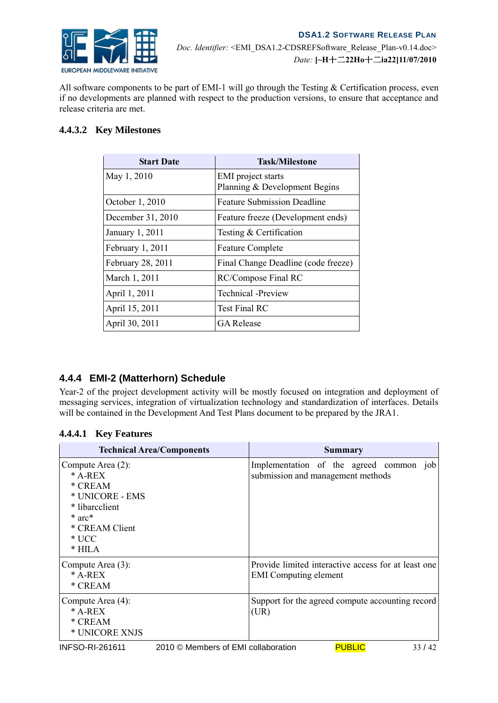

All software components to be part of EMI-1 will go through the Testing  $&$  Certification process, even if no developments are planned with respect to the production versions, to ensure that acceptance and release criteria are met.

#### **4.4.3.2 Key Milestones**

| <b>Start Date</b> | <b>Task/Milestone</b>                                      |
|-------------------|------------------------------------------------------------|
| May 1, 2010       | <b>EMI</b> project starts<br>Planning & Development Begins |
| October 1, 2010   | <b>Feature Submission Deadline</b>                         |
| December 31, 2010 | Feature freeze (Development ends)                          |
| January 1, 2011   | Testing & Certification                                    |
| February 1, 2011  | <b>Feature Complete</b>                                    |
| February 28, 2011 | Final Change Deadline (code freeze)                        |
| March 1, 2011     | RC/Compose Final RC                                        |
| April 1, 2011     | <b>Technical -Preview</b>                                  |
| April 15, 2011    | Test Final RC                                              |
| April 30, 2011    | <b>GA</b> Release                                          |

# <span id="page-32-0"></span>**4.4.4 EMI-2 (Matterhorn) Schedule**

Year-2 of the project development activity will be mostly focused on integration and deployment of messaging services, integration of virtualization technology and standardization of interfaces. Details will be contained in the Development And Test Plans document to be prepared by the JRA1.

#### **4.4.4.1 Key Features**

|                                                                                                                                      | <b>Technical Area/Components</b>    |                                                                                     | <b>Summary</b> |               |       |
|--------------------------------------------------------------------------------------------------------------------------------------|-------------------------------------|-------------------------------------------------------------------------------------|----------------|---------------|-------|
| Compute Area (2):<br>$*$ A-REX<br>* CREAM<br>* UNICORE - EMS<br>* libarcclient<br>$*$ arc $*$<br>* CREAM Client<br>* UCC<br>$*$ HILA |                                     | Implementation of the agreed common<br>submission and management methods            |                |               | job   |
| Compute Area (3):<br>$*$ A-REX<br>* CREAM                                                                                            |                                     | Provide limited interactive access for at least one<br><b>EMI</b> Computing element |                |               |       |
| Compute Area (4):<br>$* A-REX$<br>* CREAM<br>* UNICORE XNJS                                                                          |                                     | Support for the agreed compute accounting record<br>(UR)                            |                |               |       |
| INFSO-RI-261611                                                                                                                      | 2010 © Members of EMI collaboration |                                                                                     |                | <b>PUBLIC</b> | 33/42 |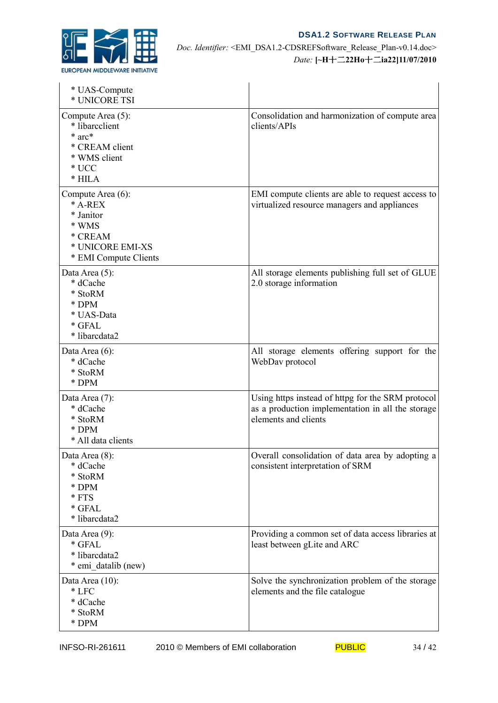

| * UAS-Compute<br>* UNICORE TSI                                                                               |                                                                                                                                |
|--------------------------------------------------------------------------------------------------------------|--------------------------------------------------------------------------------------------------------------------------------|
| Compute Area (5):<br>* libarcclient<br>$*$ arc $*$<br>* CREAM client<br>* WMS client<br>$*$ UCC<br>$*$ HILA  | Consolidation and harmonization of compute area<br>clients/APIs                                                                |
| Compute Area (6):<br>$* A-REX$<br>* Janitor<br>* WMS<br>* CREAM<br>* UNICORE EMI-XS<br>* EMI Compute Clients | EMI compute clients are able to request access to<br>virtualized resource managers and appliances                              |
| Data Area (5):<br>* dCache<br>* StoRM<br>* DPM<br>* UAS-Data<br>* GFAL<br>* libarcdata2                      | All storage elements publishing full set of GLUE<br>2.0 storage information                                                    |
| Data Area (6):<br>* dCache<br>* StoRM<br>* DPM                                                               | All storage elements offering support for the<br>WebDav protocol                                                               |
| Data Area (7):<br>* dCache<br>* StoRM<br>* DPM<br>* All data clients                                         | Using https instead of httpg for the SRM protocol<br>as a production implementation in all the storage<br>elements and clients |
| Data Area (8):<br>* dCache<br>* StoRM<br>* DPM<br>* FTS<br>* GFAL<br>* libarcdata2                           | Overall consolidation of data area by adopting a<br>consistent interpretation of SRM                                           |
| Data Area (9):<br>* GFAL<br>* libarcdata2<br>* emi datalib (new)                                             | Providing a common set of data access libraries at<br>least between gLite and ARC                                              |
| Data Area (10):<br>$*$ LFC<br>* dCache<br>* StoRM<br>* DPM                                                   | Solve the synchronization problem of the storage<br>elements and the file catalogue                                            |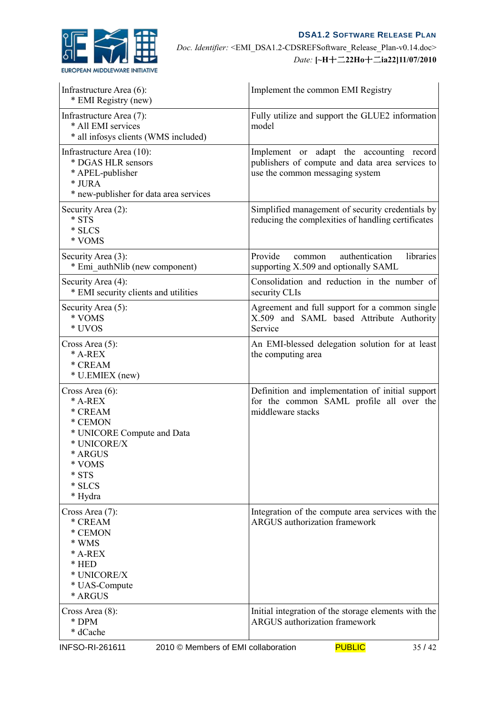

| Infrastructure Area (6):<br>* EMI Registry (new)                                                                                                    | Implement the common EMI Registry                                                                                              |
|-----------------------------------------------------------------------------------------------------------------------------------------------------|--------------------------------------------------------------------------------------------------------------------------------|
| Infrastructure Area (7):<br>* All EMI services<br>* all infosys clients (WMS included)                                                              | Fully utilize and support the GLUE2 information<br>model                                                                       |
| Infrastructure Area (10):<br>* DGAS HLR sensors<br>* APEL-publisher<br>* JURA<br>* new-publisher for data area services                             | Implement or adapt the accounting record<br>publishers of compute and data area services to<br>use the common messaging system |
| Security Area (2):<br>* STS<br>$*$ SLCS<br>* VOMS                                                                                                   | Simplified management of security credentials by<br>reducing the complexities of handling certificates                         |
| Security Area (3):<br>* Emi authNlib (new component)                                                                                                | libraries<br>Provide<br>authentication<br>common<br>supporting X.509 and optionally SAML                                       |
| Security Area (4):<br>* EMI security clients and utilities                                                                                          | Consolidation and reduction in the number of<br>security CLIs                                                                  |
| Security Area (5):<br>* VOMS<br>* UVOS                                                                                                              | Agreement and full support for a common single<br>X.509 and SAML based Attribute Authority<br>Service                          |
| Cross Area $(5)$ :<br>* A-REX<br>* CREAM<br>* U.EMIEX (new)                                                                                         | An EMI-blessed delegation solution for at least<br>the computing area                                                          |
| Cross Area $(6)$ :<br>* A-REX<br>* CREAM<br>* CEMON<br>* UNICORE Compute and Data<br>* UNICORE/X<br>* ARGUS<br>* VOMS<br>* STS<br>* SLCS<br>* Hydra | Definition and implementation of initial support<br>for the common SAML profile all over the<br>middleware stacks              |
| Cross Area (7):<br>* CREAM<br>* CEMON<br>* WMS<br>* A-REX<br>* HED<br>* UNICORE/X<br>* UAS-Compute<br>* ARGUS                                       | Integration of the compute area services with the<br><b>ARGUS</b> authorization framework                                      |
| Cross Area (8):<br>* DPM<br>* dCache                                                                                                                | Initial integration of the storage elements with the<br><b>ARGUS</b> authorization framework                                   |
| INFSO-RI-261611<br>2010 © Members of EMI collaboration                                                                                              | <b>PUBLIC</b><br>35/42                                                                                                         |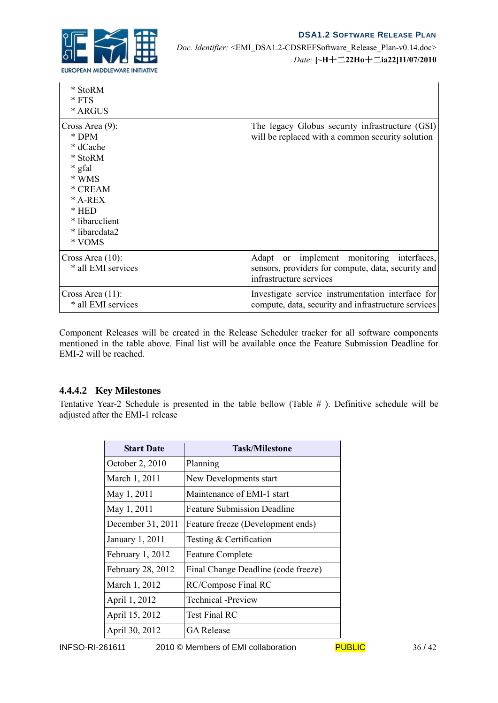

| * StoRM<br>$*$ FTS<br>* ARGUS                                                                                                                           |                                                                                                                            |
|---------------------------------------------------------------------------------------------------------------------------------------------------------|----------------------------------------------------------------------------------------------------------------------------|
| Cross Area $(9)$ :<br>$*$ DPM<br>* dCache<br>* StoRM<br>* gfal<br>* WMS<br>* CREAM<br>$* A-REX$<br>$*$ HED<br>* libarcclient<br>* libarcdata2<br>* VOMS | The legacy Globus security infrastructure (GSI)<br>will be replaced with a common security solution                        |
| Cross Area $(10)$ :<br>* all EMI services                                                                                                               | Adapt or implement monitoring interfaces,<br>sensors, providers for compute, data, security and<br>infrastructure services |
| Cross Area (11):<br>* all EMI services                                                                                                                  | Investigate service instrumentation interface for<br>compute, data, security and infrastructure services                   |

Component Releases will be created in the Release Scheduler tracker for all software components mentioned in the table above. Final list will be available once the Feature Submission Deadline for EMI-2 will be reached.

#### **4.4.4.2 Key Milestones**

Tentative Year-2 Schedule is presented in the table bellow (Table # ). Definitive schedule will be adjusted after the EMI-1 release

| <b>Start Date</b> | <b>Task/Milestone</b>               |
|-------------------|-------------------------------------|
| October 2, 2010   | Planning                            |
| March 1, 2011     | New Developments start              |
| May 1, 2011       | Maintenance of EMI-1 start          |
| May 1, 2011       | <b>Feature Submission Deadline</b>  |
| December 31, 2011 | Feature freeze (Development ends)   |
| January 1, 2011   | Testing & Certification             |
| February 1, 2012  | <b>Feature Complete</b>             |
| February 28, 2012 | Final Change Deadline (code freeze) |
| March 1, 2012     | RC/Compose Final RC                 |
| April 1, 2012     | <b>Technical -Preview</b>           |
| April 15, 2012    | Test Final RC                       |
| April 30, 2012    | <b>GA</b> Release                   |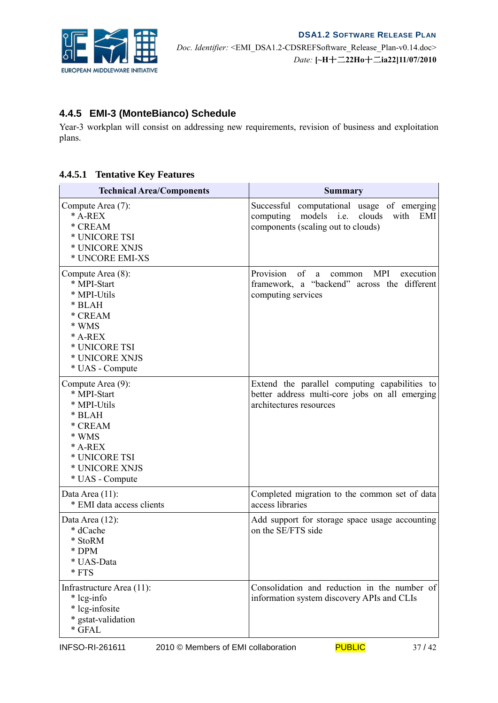

# <span id="page-36-0"></span>**4.4.5 EMI-3 (MonteBianco) Schedule**

Year-3 workplan will consist on addressing new requirements, revision of business and exploitation plans.

#### **4.4.5.1 Tentative Key Features**

| <b>Technical Area/Components</b>                                                                                                                 | <b>Summary</b>                                                                                                                  |
|--------------------------------------------------------------------------------------------------------------------------------------------------|---------------------------------------------------------------------------------------------------------------------------------|
| Compute Area (7):<br>* A-REX<br>* CREAM<br>* UNICORE TSI<br>* UNICORE XNJS<br>* UNCORE EMI-XS                                                    | Successful computational usage of emerging<br>models i.e. clouds with<br>computing<br>EMI<br>components (scaling out to clouds) |
| Compute Area (8):<br>* MPI-Start<br>* MPI-Utils<br>* BLAH<br>* CREAM<br>* WMS<br>$*$ A-REX<br>* UNICORE TSI<br>* UNICORE XNJS<br>* UAS - Compute | Provision<br>of<br><b>MPI</b><br>execution<br>a<br>common<br>framework, a "backend" across the different<br>computing services  |
| Compute Area (9):<br>* MPI-Start<br>* MPI-Utils<br>* BLAH<br>* CREAM<br>* WMS<br>$*$ A-REX<br>* UNICORE TSI<br>* UNICORE XNJS<br>* UAS - Compute | Extend the parallel computing capabilities to<br>better address multi-core jobs on all emerging<br>architectures resources      |
| Data Area (11):<br>* EMI data access clients                                                                                                     | Completed migration to the common set of data<br>access libraries                                                               |
| Data Area (12):<br>* dCache<br>* StoRM<br>* DPM<br>* UAS-Data<br>$*$ FTS                                                                         | Add support for storage space usage accounting<br>on the SE/FTS side                                                            |
| Infrastructure Area (11):<br>* lcg-info<br>* lcg-infosite<br>* gstat-validation<br>* GFAL                                                        | Consolidation and reduction in the number of<br>information system discovery APIs and CLIs                                      |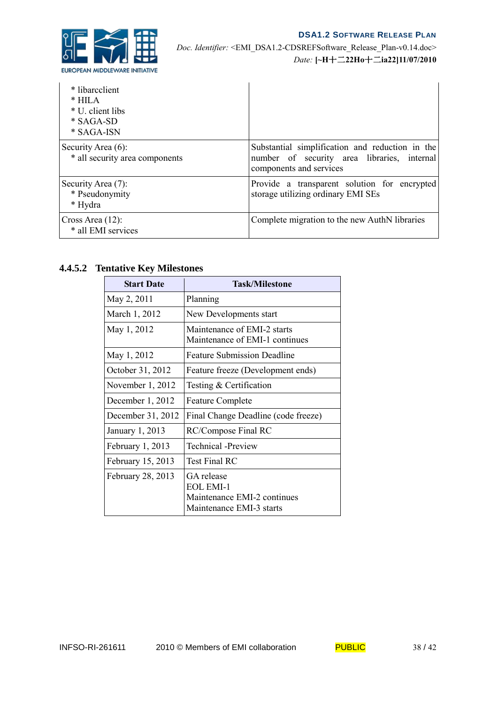

| * libarcclient<br>$*$ HILA<br>* U. client libs<br>* SAGA-SD<br>* SAGA-ISN |                                                                                                                           |
|---------------------------------------------------------------------------|---------------------------------------------------------------------------------------------------------------------------|
| Security Area $(6)$ :<br>* all security area components                   | Substantial simplification and reduction in the<br>number of security area libraries, internal<br>components and services |
| Security Area (7):<br>* Pseudonymity<br>* Hydra                           | Provide a transparent solution for encrypted<br>storage utilizing ordinary EMI SEs                                        |
| Cross Area $(12)$ :<br>* all EMI services                                 | Complete migration to the new AuthN libraries                                                                             |

#### **4.4.5.2 Tentative Key Milestones**

| <b>Start Date</b> | <b>Task/Milestone</b>                                                                     |
|-------------------|-------------------------------------------------------------------------------------------|
| May 2, 2011       | Planning                                                                                  |
| March 1, 2012     | New Developments start                                                                    |
| May 1, 2012       | Maintenance of EMI-2 starts<br>Maintenance of EMI-1 continues                             |
| May 1, 2012       | <b>Feature Submission Deadline</b>                                                        |
| October 31, 2012  | Feature freeze (Development ends)                                                         |
| November 1, 2012  | Testing & Certification                                                                   |
| December 1, 2012  | <b>Feature Complete</b>                                                                   |
| December 31, 2012 | Final Change Deadline (code freeze)                                                       |
| January 1, 2013   | RC/Compose Final RC                                                                       |
| February 1, 2013  | <b>Technical -Preview</b>                                                                 |
| February 15, 2013 | Test Final RC                                                                             |
| February 28, 2013 | GA release<br><b>EOL EMI-1</b><br>Maintenance EMI-2 continues<br>Maintenance EMI-3 starts |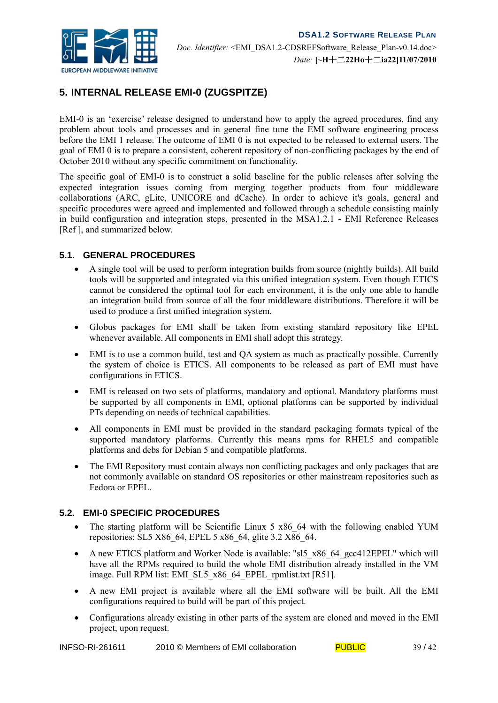

# <span id="page-38-0"></span>**5. INTERNAL RELEASE EMI-0 (ZUGSPITZE)**

EMI-0 is an "exercise" release designed to understand how to apply the agreed procedures, find any problem about tools and processes and in general fine tune the EMI software engineering process before the EMI 1 release. The outcome of EMI 0 is not expected to be released to external users. The goal of EMI 0 is to prepare a consistent, coherent repository of non-conflicting packages by the end of October 2010 without any specific commitment on functionality.

The specific goal of EMI-0 is to construct a solid baseline for the public releases after solving the expected integration issues coming from merging together products from four middleware collaborations (ARC, gLite, UNICORE and dCache). In order to achieve it's goals, general and specific procedures were agreed and implemented and followed through a schedule consisting mainly in build configuration and integration steps, presented in the MSA1.2.1 - EMI Reference Releases [Ref], and summarized below.

#### <span id="page-38-1"></span>**5.1. GENERAL PROCEDURES**

- A single tool will be used to perform integration builds from source (nightly builds). All build tools will be supported and integrated via this unified integration system. Even though ETICS cannot be considered the optimal tool for each environment, it is the only one able to handle an integration build from source of all the four middleware distributions. Therefore it will be used to produce a first unified integration system.
- Globus packages for EMI shall be taken from existing standard repository like EPEL whenever available. All components in EMI shall adopt this strategy.
- EMI is to use a common build, test and QA system as much as practically possible. Currently the system of choice is ETICS. All components to be released as part of EMI must have configurations in ETICS.
- EMI is released on two sets of platforms, mandatory and optional. Mandatory platforms must be supported by all components in EMI, optional platforms can be supported by individual PTs depending on needs of technical capabilities.
- All components in EMI must be provided in the standard packaging formats typical of the supported mandatory platforms. Currently this means rpms for RHEL5 and compatible platforms and debs for Debian 5 and compatible platforms.
- The EMI Repository must contain always non conflicting packages and only packages that are not commonly available on standard OS repositories or other mainstream repositories such as Fedora or EPEL.

#### <span id="page-38-2"></span>**5.2. EMI-0 SPECIFIC PROCEDURES**

- The starting platform will be Scientific Linux 5 x86 64 with the following enabled YUM repositories: SL5 X86\_64, EPEL 5 x86\_64, glite 3.2 X86\_64.
- A new ETICS platform and Worker Node is available: "sl5\_x86\_64\_gcc412EPEL" which will have all the RPMs required to build the whole EMI distribution already installed in the VM image. Full RPM list: EMI\_SL5\_x86\_64\_EPEL\_rpmlist.txt [R51].
- A new EMI project is available where all the EMI software will be built. All the EMI configurations required to build will be part of this project.
- Configurations already existing in other parts of the system are cloned and moved in the EMI project, upon request.

| <b>INFSO-RI-261611</b> | <b>PUBLIC</b><br>2010 © Members of EMI collaboration | 39/42 |
|------------------------|------------------------------------------------------|-------|
|------------------------|------------------------------------------------------|-------|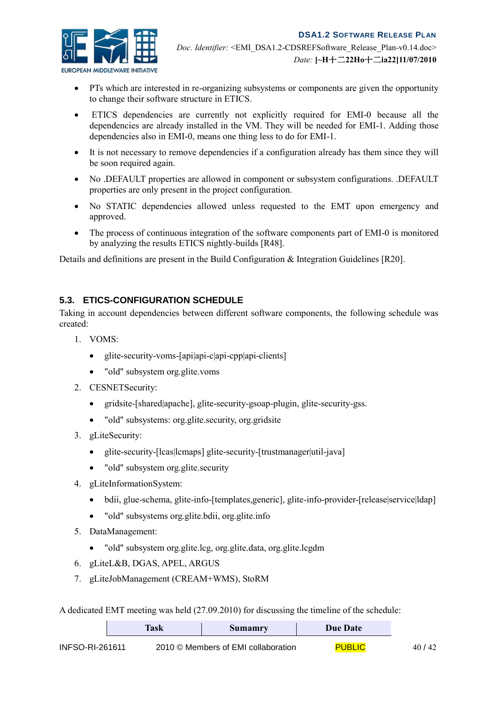

- PTs which are interested in re-organizing subsystems or components are given the opportunity to change their software structure in ETICS.
- ETICS dependencies are currently not explicitly required for EMI-0 because all the dependencies are already installed in the VM. They will be needed for EMI-1. Adding those dependencies also in EMI-0, means one thing less to do for EMI-1.
- It is not necessary to remove dependencies if a configuration already has them since they will be soon required again.
- No .DEFAULT properties are allowed in component or subsystem configurations. .DEFAULT properties are only present in the project configuration.
- No STATIC dependencies allowed unless requested to the EMT upon emergency and approved.
- The process of continuous integration of the software components part of EMI-0 is monitored by analyzing the results ETICS nightly-builds [R48].

Details and definitions are present in the Build Configuration & Integration Guidelines [R20].

#### <span id="page-39-0"></span>**5.3. ETICS-CONFIGURATION SCHEDULE**

Taking in account dependencies between different software components, the following schedule was created:

- 1. VOMS:
	- glite-security-voms-[api|api-c|api-cpp|api-clients]
	- "old" subsystem org.glite.voms
- 2. CESNETSecurity:
	- gridsite-[shared|apache], glite-security-gsoap-plugin, glite-security-gss.
	- "old" subsystems: org.glite.security, org.gridsite
- 3. gLiteSecurity:
	- glite-security-[lcas|lcmaps] glite-security-[trustmanager|util-java]
	- "old" subsystem org.glite.security
- 4. gLiteInformationSystem:
	- bdii, glue-schema, glite-info-[templates,generic], glite-info-provider-[release|service|ldap]
	- "old" subsystems org.glite.bdii, org.glite.info
- 5. DataManagement:
	- "old" subsystem org.glite.lcg, org.glite.data, org.glite.lcgdm
- 6. gLiteL&B, DGAS, APEL, ARGUS
- 7. gLiteJobManagement (CREAM+WMS), StoRM

A dedicated EMT meeting was held (27.09.2010) for discussing the timeline of the schedule:

|  | $\Omega$<br>LAƏN | Sumamry | <b>Due Date</b> |
|--|------------------|---------|-----------------|
|--|------------------|---------|-----------------|

| INFSO-RI-261611 | 2010 © Members of EMI collaboration | <b>PUBLIC</b> | 40/42 |
|-----------------|-------------------------------------|---------------|-------|
|                 |                                     |               |       |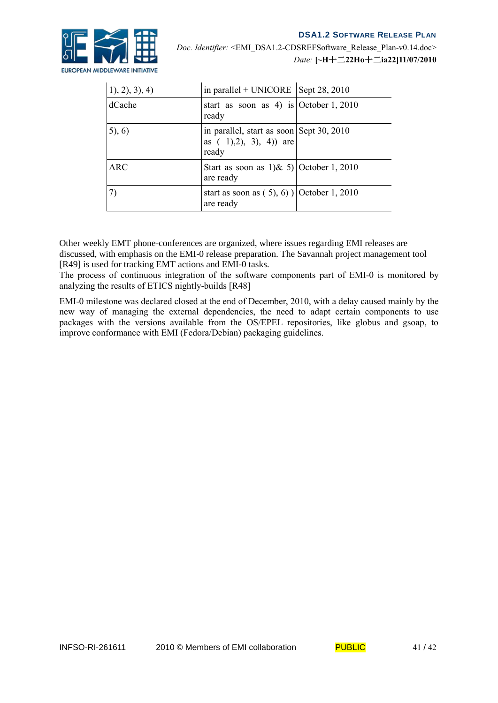

| 1, 2, 3, 4 | in parallel + UNICORE Sept 28, 2010                                          |  |
|------------|------------------------------------------------------------------------------|--|
| dCache     | start as soon as 4) is October 1, 2010<br>ready                              |  |
| (5), (6)   | in parallel, start as soon Sept 30, 2010<br>as $(1),2), 3), 4)$ are<br>ready |  |
| <b>ARC</b> | Start as soon as $1)$ & 5) October 1, 2010<br>are ready                      |  |
| 7)         | start as soon as $(5)$ , 6) $\vert$ October 1, 2010<br>are ready             |  |

Other weekly EMT phone-conferences are organized, where issues regarding EMI releases are discussed, with emphasis on the EMI-0 release preparation. The Savannah project management tool [R49] is used for tracking EMT actions and EMI-0 tasks.

The process of continuous integration of the software components part of EMI-0 is monitored by analyzing the results of ETICS nightly-builds [R48]

EMI-0 milestone was declared closed at the end of December, 2010, with a delay caused mainly by the new way of managing the external dependencies, the need to adapt certain components to use packages with the versions available from the OS/EPEL repositories, like globus and gsoap, to improve conformance with EMI (Fedora/Debian) packaging guidelines.